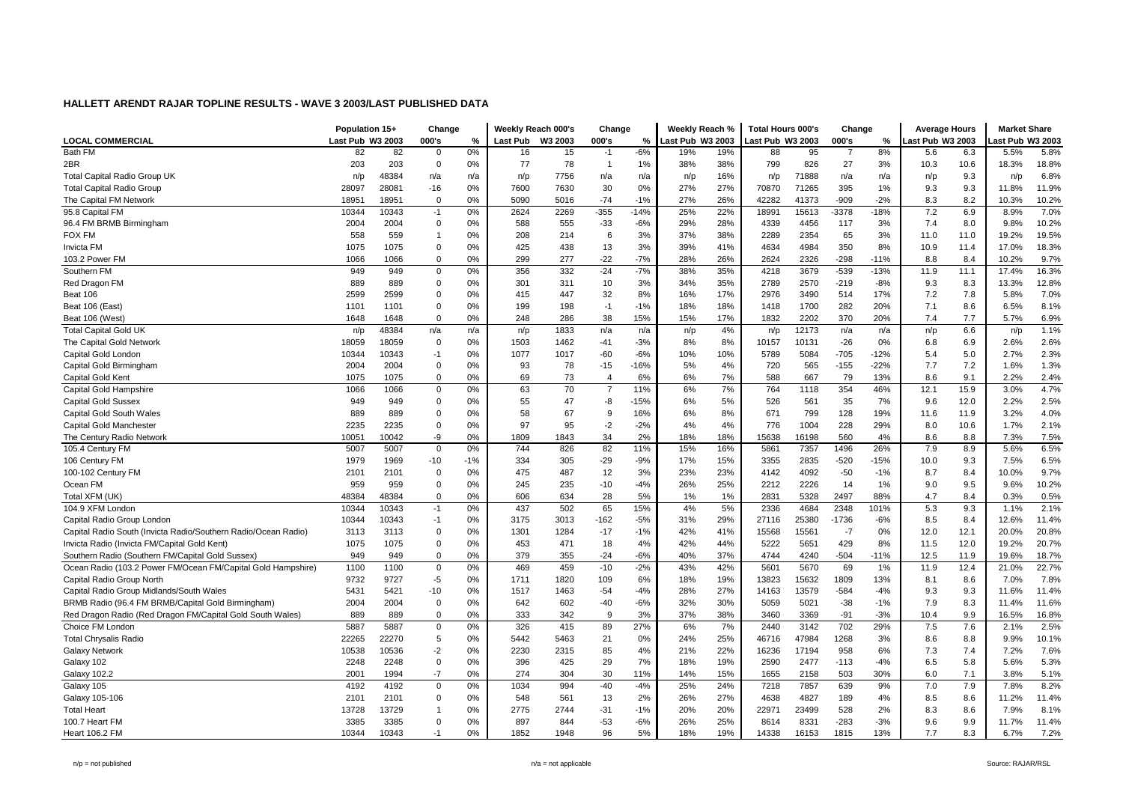|                                                                | Population 15+   |       | Change         |       |                 | Weekly Reach 000's | Change         |        | Weekly Reach %   |     | Total Hours 000's |       | Change         |        | <b>Average Hours</b> |      | <b>Market Share</b> |       |
|----------------------------------------------------------------|------------------|-------|----------------|-------|-----------------|--------------------|----------------|--------|------------------|-----|-------------------|-------|----------------|--------|----------------------|------|---------------------|-------|
| <b>LOCAL COMMERCIAL</b>                                        | Last Pub W3 2003 |       | 000's          | %     | <b>Last Pub</b> | W3 2003            | 000's          | %      | Last Pub W3 2003 |     | ast Pub W3 2003   |       | 000's          | %      | ast Pub W3 2003      |      | ast Pub W3 2003     |       |
| Bath FM                                                        | 82               | 82    | $\overline{0}$ | 0%    | 16              | 15                 | $-1$           | $-6%$  | 19%              | 19% | 88                | 95    | $\overline{7}$ | 8%     | 5.6                  | 6.3  | 5.5%                | 5.8%  |
| 2BR                                                            | 203              | 203   | $\overline{0}$ | 0%    | 77              | 78                 | $\overline{1}$ | 1%     | 38%              | 38% | 799               | 826   | 27             | 3%     | 10.3                 | 10.6 | 18.3%               | 18.8% |
| <b>Total Capital Radio Group UK</b>                            | n/p              | 48384 | n/a            | n/a   | n/p             | 7756               | n/a            | n/a    | n/p              | 16% | n/p               | 71888 | n/a            | n/a    | n/p                  | 9.3  | n/p                 | 6.8%  |
| <b>Total Capital Radio Group</b>                               | 28097            | 28081 | $-16$          | 0%    | 7600            | 7630               | 30             | 0%     | 27%              | 27% | 70870             | 71265 | 395            | 1%     | 9.3                  | 9.3  | 11.8%               | 11.9% |
| The Capital FM Network                                         | 18951            | 18951 | $\mathbf 0$    | 0%    | 5090            | 5016               | $-74$          | $-1%$  | 27%              | 26% | 42282             | 41373 | -909           | $-2%$  | 8.3                  | 8.2  | 10.3%               | 10.2% |
| 95.8 Capital FM                                                | 10344            | 10343 | $-1$           | 0%    | 2624            | 2269               | $-355$         | $-14%$ | 25%              | 22% | 18991             | 15613 | -3378          | $-18%$ | 7.2                  | 6.9  | 8.9%                | 7.0%  |
| 96.4 FM BRMB Birmingham                                        | 2004             | 2004  | $\mathbf 0$    | 0%    | 588             | 555                | $-33$          | $-6%$  | 29%              | 28% | 4339              | 4456  | 117            | 3%     | 7.4                  | 8.0  | 9.8%                | 10.2% |
| <b>FOX FM</b>                                                  | 558              | 559   | $\overline{1}$ | 0%    | 208             | 214                | 6              | 3%     | 37%              | 38% | 2289              | 2354  | 65             | 3%     | 11.0                 | 11.0 | 19.2%               | 19.5% |
| Invicta FM                                                     | 1075             | 1075  | $\mathbf 0$    | 0%    | 425             | 438                | 13             | 3%     | 39%              | 41% | 4634              | 4984  | 350            | 8%     | 10.9                 | 11.4 | 17.0%               | 18.3% |
| 103.2 Power FM                                                 | 1066             | 1066  | $\mathbf 0$    | 0%    | 299             | 277                | $-22$          | $-7%$  | 28%              | 26% | 2624              | 2326  | $-298$         | $-11%$ | 8.8                  | 8.4  | 10.2%               | 9.7%  |
| Southern FM                                                    | 949              | 949   | $\mathbf 0$    | 0%    | 356             | 332                | $-24$          | $-7%$  | 38%              | 35% | 4218              | 3679  | $-539$         | $-13%$ | 11.9                 | 11.1 | 17.4%               | 16.3% |
| Red Dragon FM                                                  | 889              | 889   | $\mathbf 0$    | 0%    | 301             | 311                | 10             | 3%     | 34%              | 35% | 2789              | 2570  | $-219$         | $-8%$  | 9.3                  | 8.3  | 13.3%               | 12.8% |
| Beat 106                                                       | 2599             | 2599  | $\mathbf 0$    | 0%    | 415             | 447                | 32             | 8%     | 16%              | 17% | 2976              | 3490  | 514            | 17%    | 7.2                  | 7.8  | 5.8%                | 7.0%  |
| Beat 106 (East)                                                | 1101             | 1101  | $\Omega$       | 0%    | 199             | 198                | $-1$           | $-1%$  | 18%              | 18% | 1418              | 1700  | 282            | 20%    | 7.1                  | 8.6  | 6.5%                | 8.1%  |
| Beat 106 (West)                                                | 1648             | 1648  | $\mathbf 0$    | 0%    | 248             | 286                | 38             | 15%    | 15%              | 17% | 1832              | 2202  | 370            | 20%    | 7.4                  | 7.7  | 5.7%                | 6.9%  |
| <b>Total Capital Gold UK</b>                                   | n/p              | 48384 | n/a            | n/a   | n/p             | 1833               | n/a            | n/a    | n/p              | 4%  | n/p               | 12173 | n/a            | n/a    | n/p                  | 6.6  | n/p                 | 1.1%  |
| The Capital Gold Network                                       | 18059            | 18059 | $\mathbf 0$    | 0%    | 1503            | 1462               | $-41$          | $-3%$  | 8%               | 8%  | 10157             | 10131 | $-26$          | 0%     | 6.8                  | 6.9  | 2.6%                | 2.6%  |
| Capital Gold Londor                                            | 10344            | 10343 | $-1$           | 0%    | 1077            | 1017               | $-60$          | $-6%$  | 10%              | 10% | 5789              | 5084  | $-705$         | $-12%$ | 5.4                  | 5.0  | 2.7%                | 2.3%  |
| Capital Gold Birmingham                                        | 2004             | 2004  | $\mathbf 0$    | 0%    | 93              | 78                 | $-15$          | $-16%$ | 5%               | 4%  | 720               | 565   | $-155$         | $-22%$ | 7.7                  | 7.2  | 1.6%                | 1.3%  |
| Capital Gold Kent                                              | 1075             | 1075  | $\mathbf 0$    | 0%    | 69              | 73                 | $\overline{4}$ | 6%     | 6%               | 7%  | 588               | 667   | 79             | 13%    | 8.6                  | 9.1  | 2.2%                | 2.4%  |
| Capital Gold Hampshire                                         | 1066             | 1066  | $\mathbf 0$    | 0%    | 63              | 70                 | $\overline{7}$ | 11%    | 6%               | 7%  | 764               | 1118  | 354            | 46%    | 12.1                 | 15.9 | 3.0%                | 4.7%  |
| <b>Capital Gold Sussex</b>                                     | 949              | 949   | $\mathbf 0$    | 0%    | 55              | 47                 | -8             | $-15%$ | 6%               | 5%  | 526               | 561   | 35             | 7%     | 9.6                  | 12.0 | 2.2%                | 2.5%  |
| Capital Gold South Wales                                       | 889              | 889   | $\mathbf 0$    | 0%    | 58              | 67                 | 9              | 16%    | 6%               | 8%  | 671               | 799   | 128            | 19%    | 11.6                 | 11.9 | 3.2%                | 4.0%  |
| Capital Gold Manchester                                        | 2235             | 2235  | $\mathbf 0$    | 0%    | 97              | 95                 | $-2$           | $-2%$  | 4%               | 4%  | 776               | 1004  | 228            | 29%    | 8.0                  | 10.6 | 1.7%                | 2.1%  |
| The Century Radio Network                                      | 10051            | 10042 | -9             | 0%    | 1809            | 1843               | 34             | 2%     | 18%              | 18% | 15638             | 16198 | 560            | 4%     | 8.6                  | 8.8  | 7.3%                | 7.5%  |
| 105.4 Century FM                                               | 5007             | 5007  | $\mathbf 0$    | 0%    | 744             | 826                | 82             | 11%    | 15%              | 16% | 5861              | 7357  | 1496           | 26%    | 7.9                  | 8.9  | 5.6%                | 6.5%  |
| 106 Century FM                                                 | 1979             | 1969  | $-10$          | $-1%$ | 334             | 305                | $-29$          | $-9%$  | 17%              | 15% | 3355              | 2835  | $-520$         | $-15%$ | 10.0                 | 9.3  | 7.5%                | 6.5%  |
| 100-102 Century FM                                             | 2101             | 2101  | $\mathbf 0$    | 0%    | 475             | 487                | 12             | 3%     | 23%              | 23% | 4142              | 4092  | $-50$          | $-1%$  | 8.7                  | 8.4  | 10.0%               | 9.7%  |
| Ocean FM                                                       | 959              | 959   | $\mathbf 0$    | 0%    | 245             | 235                | $-10$          | $-4%$  | 26%              | 25% | 2212              | 2226  | 14             | 1%     | 9.0                  | 9.5  | 9.6%                | 10.2% |
| Total XFM (UK)                                                 | 48384            | 48384 | $\mathbf 0$    | 0%    | 606             | 634                | 28             | 5%     | 1%               | 1%  | 2831              | 5328  | 2497           | 88%    | 4.7                  | 8.4  | 0.3%                | 0.5%  |
| 104.9 XFM London                                               | 10344            | 10343 | $-1$           | 0%    | 437             | 502                | 65             | 15%    | 4%               | 5%  | 2336              | 4684  | 2348           | 101%   | 5.3                  | 9.3  | 1.1%                | 2.1%  |
| Capital Radio Group London                                     | 10344            | 10343 | $-1$           | 0%    | 3175            | 3013               | $-162$         | $-5%$  | 31%              | 29% | 27116             | 25380 | $-1736$        | $-6%$  | 8.5                  | 8.4  | 12.6%               | 11.4% |
| Capital Radio South (Invicta Radio/Southern Radio/Ocean Radio) | 3113             | 3113  | $\mathbf 0$    | 0%    | 1301            | 1284               | $-17$          | $-1%$  | 42%              | 41% | 15568             | 15561 | $-7$           | 0%     | 12.0                 | 12.1 | 20.0%               | 20.8% |
| Invicta Radio (Invicta FM/Capital Gold Kent)                   | 1075             | 1075  | $\mathbf 0$    | 0%    | 453             | 471                | 18             | 4%     | 42%              | 44% | 5222              | 5651  | 429            | 8%     | 11.5                 | 12.0 | 19.2%               | 20.7% |
| Southern Radio (Southern FM/Capital Gold Sussex)               | 949              | 949   | $\mathbf 0$    | 0%    | 379             | 355                | $-24$          | $-6%$  | 40%              | 37% | 4744              | 4240  | $-504$         | $-11%$ | 12.5                 | 11.9 | 19.6%               | 18.7% |
| Ocean Radio (103.2 Power FM/Ocean FM/Capital Gold Hampshire)   | 1100             | 1100  | $\mathbf 0$    | 0%    | 469             | 459                | $-10$          | $-2%$  | 43%              | 42% | 5601              | 5670  | 69             | 1%     | 11.9                 | 12.4 | 21.0%               | 22.7% |
| Capital Radio Group North                                      | 9732             | 9727  | $-5$           | 0%    | 1711            | 1820               | 109            | 6%     | 18%              | 19% | 13823             | 15632 | 1809           | 13%    | 8.1                  | 8.6  | 7.0%                | 7.8%  |
| Capital Radio Group Midlands/South Wales                       | 5431             | 5421  | $-10$          | 0%    | 1517            | 1463               | $-54$          | $-4%$  | 28%              | 27% | 14163             | 13579 | $-584$         | $-4%$  | 9.3                  | 9.3  | 11.6%               | 11.4% |
| BRMB Radio (96.4 FM BRMB/Capital Gold Birmingham)              | 2004             | 2004  | $\overline{0}$ | 0%    | 642             | 602                | $-40$          | $-6%$  | 32%              | 30% | 5059              | 5021  | $-38$          | $-1%$  | 7.9                  | 8.3  | 11.4%               | 11.6% |
| Red Dragon Radio (Red Dragon FM/Capital Gold South Wales)      | 889              | 889   | $\mathbf 0$    | 0%    | 333             | 342                | 9              | 3%     | 37%              | 38% | 3460              | 3369  | $-91$          | $-3%$  | 10.4                 | 9.9  | 16.5%               | 16.8% |
| Choice FM London                                               | 5887             | 5887  | $\mathbf 0$    | 0%    | 326             | 415                | 89             | 27%    | 6%               | 7%  | 2440              | 3142  | 702            | 29%    | 7.5                  | 7.6  | 2.1%                | 2.5%  |
| <b>Total Chrysalis Radio</b>                                   | 22265            | 22270 | 5              | 0%    | 5442            | 5463               | 21             | 0%     | 24%              | 25% | 46716             | 47984 | 1268           | 3%     | 8.6                  | 8.8  | 9.9%                | 10.1% |
| <b>Galaxy Network</b>                                          | 10538            | 10536 | $-2$           | 0%    | 2230            | 2315               | 85             | 4%     | 21%              | 22% | 16236             | 17194 | 958            | 6%     | 7.3                  | 7.4  | 7.2%                | 7.6%  |
| Galaxy 102                                                     | 2248             | 2248  | $\mathbf 0$    | 0%    | 396             | 425                | 29             | 7%     | 18%              | 19% | 2590              | 2477  | $-113$         | $-4%$  | 6.5                  | 5.8  | 5.6%                | 5.3%  |
| <b>Galaxy 102.2</b>                                            | 2001             | 1994  | $-7$           | 0%    | 274             | 304                | 30             | 11%    | 14%              | 15% | 1655              | 2158  | 503            | 30%    | 6.0                  | 7.1  | 3.8%                | 5.1%  |
| Galaxy 105                                                     | 4192             | 4192  | $\mathbf 0$    | 0%    | 1034            | 994                | $-40$          | $-4%$  | 25%              | 24% | 7218              | 7857  | 639            | 9%     | 7.0                  | 7.9  | 7.8%                | 8.2%  |
| Galaxy 105-106                                                 | 2101             | 2101  | $\mathbf 0$    | 0%    | 548             | 561                | 13             | 2%     | 26%              | 27% | 4638              | 4827  | 189            | 4%     | 8.5                  | 8.6  | 11.2%               | 11.4% |
| <b>Total Heart</b>                                             | 13728            | 13729 | $\overline{1}$ | 0%    | 2775            | 2744               | $-31$          | $-1%$  | 20%              | 20% | 22971             | 23499 | 528            | 2%     | 8.3                  | 8.6  | 7.9%                | 8.1%  |
| 100.7 Heart FM                                                 | 3385             | 3385  | $\mathbf 0$    | 0%    | 897             | 844                | $-53$          | $-6%$  | 26%              | 25% | 8614              | 8331  | $-283$         | $-3%$  | 9.6                  | 9.9  | 11.7%               | 11.4% |
| <b>Heart 106.2 FM</b>                                          | 10344            | 10343 | $-1$           | 0%    | 1852            | 1948               | 96             | 5%     | 18%              | 19% | 14338             | 16153 | 1815           | 13%    | 7.7                  | 8.3  | 6.7%                | 7.2%  |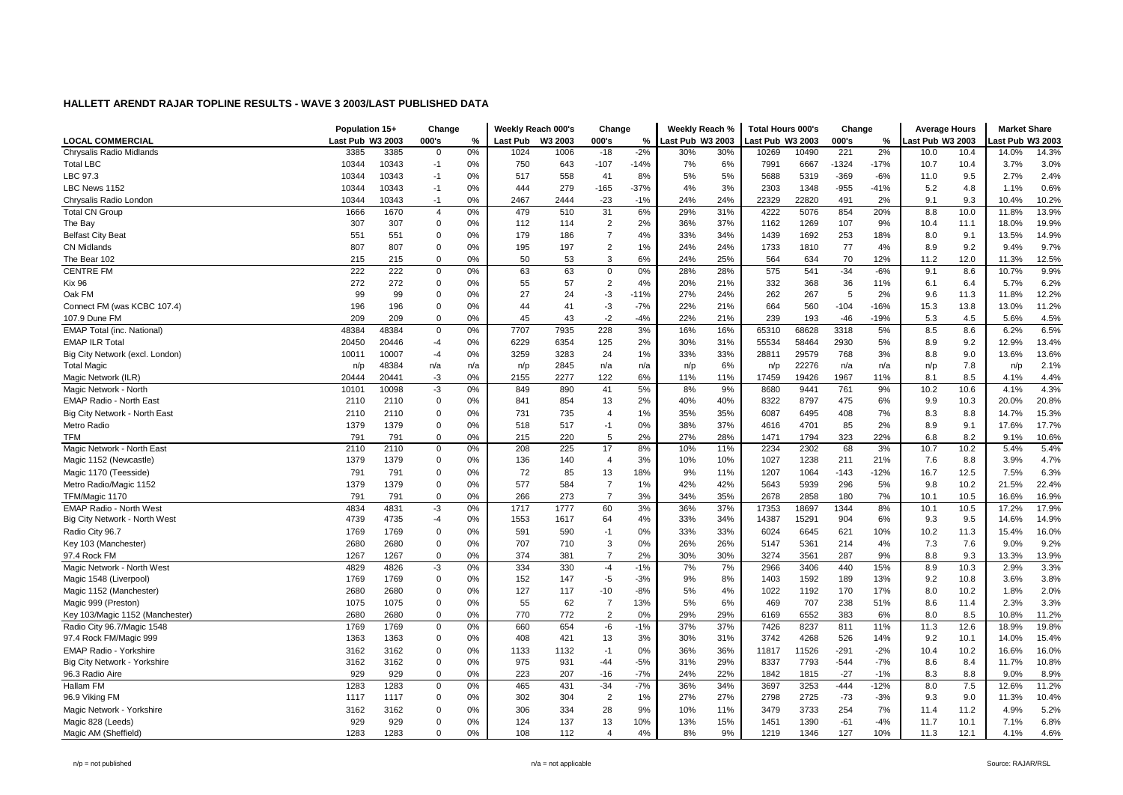|                                   | Population 15+   |       | Change         |     |          | Weekly Reach 000's | Change         |        | Weekly Reach %   |     | <b>Total Hours 000's</b> |       | Change  |        | <b>Average Hours</b> |      | <b>Market Share</b> |       |
|-----------------------------------|------------------|-------|----------------|-----|----------|--------------------|----------------|--------|------------------|-----|--------------------------|-------|---------|--------|----------------------|------|---------------------|-------|
| <b>LOCAL COMMERCIAL</b>           | Last Pub W3 2003 |       | 000's          | %   | Last Pub | W3 2003            | 000's          | %      | Last Pub W3 2003 |     | ast Pub W3 2003          |       | 000's   | $\%$   | ast Pub W3 2003      |      | ast Pub W3 2003     |       |
| Chrysalis Radio Midlands          | 3385             | 3385  | $\mathbf 0$    | 0%  | 1024     | 1006               | $-18$          | $-2%$  | 30%              | 30% | 10269                    | 10490 | 221     | 2%     | 10.0                 | 10.4 | 14.0%               | 14.3% |
| <b>Total LBC</b>                  | 10344            | 10343 | $-1$           | 0%  | 750      | 643                | $-107$         | $-14%$ | 7%               | 6%  | 7991                     | 6667  | $-1324$ | $-17%$ | 10.7                 | 10.4 | 3.7%                | 3.0%  |
| LBC 97.3                          | 10344            | 10343 | $-1$           | 0%  | 517      | 558                | 41             | 8%     | 5%               | 5%  | 5688                     | 5319  | $-369$  | $-6%$  | 11.0                 | 9.5  | 2.7%                | 2.4%  |
| LBC News 1152                     | 10344            | 10343 | $-1$           | 0%  | 444      | 279                | $-165$         | $-37%$ | 4%               | 3%  | 2303                     | 1348  | $-955$  | $-41%$ | 5.2                  | 4.8  | 1.1%                | 0.6%  |
| Chrysalis Radio London            | 10344            | 10343 | $-1$           | 0%  | 2467     | 2444               | $-23$          | $-1%$  | 24%              | 24% | 22329                    | 22820 | 491     | 2%     | 9.1                  | 9.3  | 10.4%               | 10.2% |
| <b>Total CN Group</b>             | 1666             | 1670  | $\overline{4}$ | 0%  | 479      | 510                | 31             | 6%     | 29%              | 31% | 4222                     | 5076  | 854     | 20%    | 8.8                  | 10.0 | 11.8%               | 13.9% |
| The Bay                           | 307              | 307   | $\overline{0}$ | 0%  | 112      | 114                | $\overline{2}$ | 2%     | 36%              | 37% | 1162                     | 1269  | 107     | 9%     | 10.4                 | 11.1 | 18.0%               | 19.9% |
| <b>Belfast City Beat</b>          | 551              | 551   | $\overline{0}$ | 0%  | 179      | 186                | $\overline{7}$ | 4%     | 33%              | 34% | 1439                     | 1692  | 253     | 18%    | 8.0                  | 9.1  | 13.5%               | 14.9% |
| <b>CN Midlands</b>                | 807              | 807   | $\mathbf 0$    | 0%  | 195      | 197                | 2              | 1%     | 24%              | 24% | 1733                     | 1810  | 77      | 4%     | 8.9                  | 9.2  | 9.4%                | 9.7%  |
| The Bear 102                      | 215              | 215   | 0              | 0%  | 50       | 53                 | 3              | 6%     | 24%              | 25% | 564                      | 634   | 70      | 12%    | 11.2                 | 12.0 | 11.3%               | 12.5% |
| <b>CENTRE FM</b>                  | 222              | 222   | $\mathbf 0$    | 0%  | 63       | 63                 | $\mathbf 0$    | 0%     | 28%              | 28% | 575                      | 541   | $-34$   | $-6%$  | 9.1                  | 8.6  | 10.7%               | 9.9%  |
| <b>Kix 96</b>                     | 272              | 272   | $\mathbf 0$    | 0%  | 55       | 57                 | $\overline{2}$ | 4%     | 20%              | 21% | 332                      | 368   | 36      | 11%    | 6.1                  | 6.4  | 5.7%                | 6.2%  |
| Oak FM                            | 99               | 99    | 0              | 0%  | 27       | 24                 | $-3$           | $-11%$ | 27%              | 24% | 262                      | 267   | 5       | 2%     | 9.6                  | 11.3 | 11.8%               | 12.2% |
| Connect FM (was KCBC 107.4)       | 196              | 196   | $\overline{0}$ | 0%  | 44       | 41                 | $-3$           | $-7%$  | 22%              | 21% | 664                      | 560   | $-104$  | $-16%$ | 15.3                 | 13.8 | 13.0%               | 11.2% |
| 107.9 Dune FM                     | 209              | 209   | $\mathbf 0$    | 0%  | 45       | 43                 | $-2$           | $-4%$  | 22%              | 21% | 239                      | 193   | $-46$   | $-19%$ | 5.3                  | 4.5  | 5.6%                | 4.5%  |
| <b>EMAP Total (inc. National)</b> | 48384            | 48384 | $\mathbf 0$    | 0%  | 7707     | 7935               | 228            | 3%     | 16%              | 16% | 65310                    | 68628 | 3318    | 5%     | 8.5                  | 8.6  | 6.2%                | 6.5%  |
| <b>EMAP ILR Total</b>             | 20450            | 20446 | $-4$           | 0%  | 6229     | 6354               | 125            | 2%     | 30%              | 31% | 55534                    | 58464 | 2930    | 5%     | 8.9                  | 9.2  | 12.9%               | 13.4% |
| Big City Network (excl. London)   | 10011            | 10007 | $-4$           | 0%  | 3259     | 3283               | 24             | 1%     | 33%              | 33% | 28811                    | 29579 | 768     | 3%     | 8.8                  | 9.0  | 13.6%               | 13.6% |
| <b>Total Magio</b>                | n/p              | 48384 | n/a            | n/a | n/p      | 2845               | n/a            | n/a    | n/p              | 6%  | n/p                      | 22276 | n/a     | n/a    | n/p                  | 7.8  | n/p                 | 2.1%  |
| Magic Network (ILR)               | 20444            | 20441 | -3             | 0%  | 2155     | 2277               | 122            | 6%     | 11%              | 11% | 17459                    | 19426 | 1967    | 11%    | 8.1                  | 8.5  | 4.1%                | 4.4%  |
| Magic Network - North             | 10101            | 10098 | $-3$           | 0%  | 849      | 890                | 41             | 5%     | 8%               | 9%  | 8680                     | 9441  | 761     | 9%     | 10.2                 | 10.6 | 4.1%                | 4.3%  |
| EMAP Radio - North East           | 2110             | 2110  | $\mathbf 0$    | 0%  | 841      | 854                | 13             | 2%     | 40%              | 40% | 8322                     | 8797  | 475     | 6%     | 9.9                  | 10.3 | 20.0%               | 20.8% |
| Big City Network - North East     | 2110             | 2110  | $\overline{0}$ | 0%  | 731      | 735                | $\overline{4}$ | 1%     | 35%              | 35% | 6087                     | 6495  | 408     | 7%     | 8.3                  | 8.8  | 14.7%               | 15.3% |
| Metro Radio                       | 1379             | 1379  | $\overline{0}$ | 0%  | 518      | 517                | $-1$           | 0%     | 38%              | 37% | 4616                     | 4701  | 85      | 2%     | 8.9                  | 9.1  | 17.6%               | 17.7% |
| TFM                               | 791              | 791   | $\mathbf 0$    | 0%  | 215      | 220                | 5              | 2%     | 27%              | 28% | 1471                     | 1794  | 323     | 22%    | 6.8                  | 8.2  | 9.1%                | 10.6% |
| Magic Network - North East        | 2110             | 2110  | 0              | 0%  | 208      | 225                | 17             | 8%     | 10%              | 11% | 2234                     | 2302  | 68      | 3%     | 10.7                 | 10.2 | 5.4%                | 5.4%  |
| Magic 1152 (Newcastle)            | 1379             | 1379  | 0              | 0%  | 136      | 140                | $\overline{4}$ | 3%     | 10%              | 10% | 1027                     | 1238  | 211     | 21%    | 7.6                  | 8.8  | 3.9%                | 4.7%  |
| Magic 1170 (Teesside)             | 791              | 791   | $\mathbf 0$    | 0%  | 72       | 85                 | 13             | 18%    | 9%               | 11% | 1207                     | 1064  | $-143$  | $-12%$ | 16.7                 | 12.5 | 7.5%                | 6.3%  |
| Metro Radio/Magic 1152            | 1379             | 1379  | $\mathbf 0$    | 0%  | 577      | 584                | $\overline{7}$ | 1%     | 42%              | 42% | 5643                     | 5939  | 296     | 5%     | 9.8                  | 10.2 | 21.5%               | 22.4% |
| TFM/Magic 1170                    | 791              | 791   | $\mathbf 0$    | 0%  | 266      | 273                | $\overline{7}$ | 3%     | 34%              | 35% | 2678                     | 2858  | 180     | 7%     | 10.1                 | 10.5 | 16.6%               | 16.9% |
| <b>EMAP Radio - North West</b>    | 4834             | 4831  | $-3$           | 0%  | 1717     | 1777               | 60             | 3%     | 36%              | 37% | 17353                    | 18697 | 1344    | 8%     | 10.1                 | 10.5 | 17.2%               | 17.9% |
| Big City Network - North West     | 4739             | 4735  | -4             | 0%  | 1553     | 1617               | 64             | 4%     | 33%              | 34% | 14387                    | 15291 | 904     | 6%     | 9.3                  | 9.5  | 14.6%               | 14.9% |
| Radio City 96.7                   | 1769             | 1769  | $\mathbf 0$    | 0%  | 591      | 590                | $-1$           | 0%     | 33%              | 33% | 6024                     | 6645  | 621     | 10%    | 10.2                 | 11.3 | 15.4%               | 16.0% |
| Key 103 (Manchester)              | 2680             | 2680  | $\overline{0}$ | 0%  | 707      | 710                | 3              | 0%     | 26%              | 26% | 5147                     | 5361  | 214     | 4%     | 7.3                  | 7.6  | 9.0%                | 9.2%  |
| 97.4 Rock FM                      | 1267             | 1267  | $\mathbf 0$    | 0%  | 374      | 381                | $\overline{7}$ | 2%     | 30%              | 30% | 3274                     | 3561  | 287     | 9%     | 8.8                  | 9.3  | 13.3%               | 13.9% |
| Magic Network - North West        | 4829             | 4826  | -3             | 0%  | 334      | 330                | $-4$           | $-1%$  | 7%               | 7%  | 2966                     | 3406  | 440     | 15%    | 8.9                  | 10.3 | 2.9%                | 3.3%  |
| Magic 1548 (Liverpool)            | 1769             | 1769  | 0              | 0%  | 152      | 147                | $-5$           | $-3%$  | 9%               | 8%  | 1403                     | 1592  | 189     | 13%    | 9.2                  | 10.8 | 3.6%                | 3.8%  |
| Magic 1152 (Manchester)           | 2680             | 2680  | $\overline{0}$ | 0%  | 127      | 117                | $-10$          | $-8%$  | 5%               | 4%  | 1022                     | 1192  | 170     | 17%    | 8.0                  | 10.2 | 1.8%                | 2.0%  |
| Magic 999 (Preston)               | 1075             | 1075  | $\Omega$       | 0%  | 55       | 62                 | $\overline{7}$ | 13%    | 5%               | 6%  | 469                      | 707   | 238     | 51%    | 8.6                  | 11.4 | 2.3%                | 3.3%  |
| Key 103/Magic 1152 (Manchester)   | 2680             | 2680  | $\mathbf 0$    | 0%  | 770      | 772                | $\overline{2}$ | 0%     | 29%              | 29% | 6169                     | 6552  | 383     | 6%     | 8.0                  | 8.5  | 10.8%               | 11.2% |
| Radio City 96.7/Magic 1548        | 1769             | 1769  | 0              | 0%  | 660      | 654                | -6             | $-1%$  | 37%              | 37% | 7426                     | 8237  | 811     | 11%    | 11.3                 | 12.6 | 18.9%               | 19.8% |
| 97.4 Rock FM/Magic 999            | 1363             | 1363  | 0              | 0%  | 408      | 421                | 13             | 3%     | 30%              | 31% | 3742                     | 4268  | 526     | 14%    | 9.2                  | 10.1 | 14.0%               | 15.4% |
| <b>EMAP Radio - Yorkshire</b>     | 3162             | 3162  | $\mathbf 0$    | 0%  | 1133     | 1132               | $-1$           | 0%     | 36%              | 36% | 11817                    | 11526 | $-291$  | $-2%$  | 10.4                 | 10.2 | 16.6%               | 16.0% |
| Big City Network - Yorkshire      | 3162             | 3162  | 0              | 0%  | 975      | 931                | $-44$          | $-5%$  | 31%              | 29% | 8337                     | 7793  | $-544$  | $-7%$  | 8.6                  | 8.4  | 11.7%               | 10.8% |
| 96.3 Radio Aire                   | 929              | 929   | $\mathbf 0$    | 0%  | 223      | 207                | $-16$          | $-7%$  | 24%              | 22% | 1842                     | 1815  | $-27$   | $-1%$  | 8.3                  | 8.8  | 9.0%                | 8.9%  |
| Hallam FM                         | 1283             | 1283  | $\mathbf 0$    | 0%  | 465      | 431                | $-34$          | $-7%$  | 36%              | 34% | 3697                     | 3253  | $-444$  | $-12%$ | 8.0                  | 7.5  | 12.6%               | 11.2% |
| 96.9 Viking FM                    | 1117             | 1117  | 0              | 0%  | 302      | 304                | $\overline{2}$ | 1%     | 27%              | 27% | 2798                     | 2725  | $-73$   | $-3%$  | 9.3                  | 9.0  | 11.3%               | 10.4% |
| Magic Network - Yorkshire         | 3162             | 3162  | $\overline{0}$ | 0%  | 306      | 334                | 28             | 9%     | 10%              | 11% | 3479                     | 3733  | 254     | 7%     | 11.4                 | 11.2 | 4.9%                | 5.2%  |
| Magic 828 (Leeds)                 | 929              | 929   | $\overline{0}$ | 0%  | 124      | 137                | 13             | 10%    | 13%              | 15% | 1451                     | 1390  | $-61$   | $-4%$  | 11.7                 | 10.1 | 7.1%                | 6.8%  |
| Magic AM (Sheffield)              | 1283             | 1283  | $\mathbf 0$    | 0%  | 108      | 112                | $\Delta$       | 4%     | 8%               | 9%  | 1219                     | 1346  | 127     | 10%    | 11.3                 | 12.1 | 4.1%                | 4.6%  |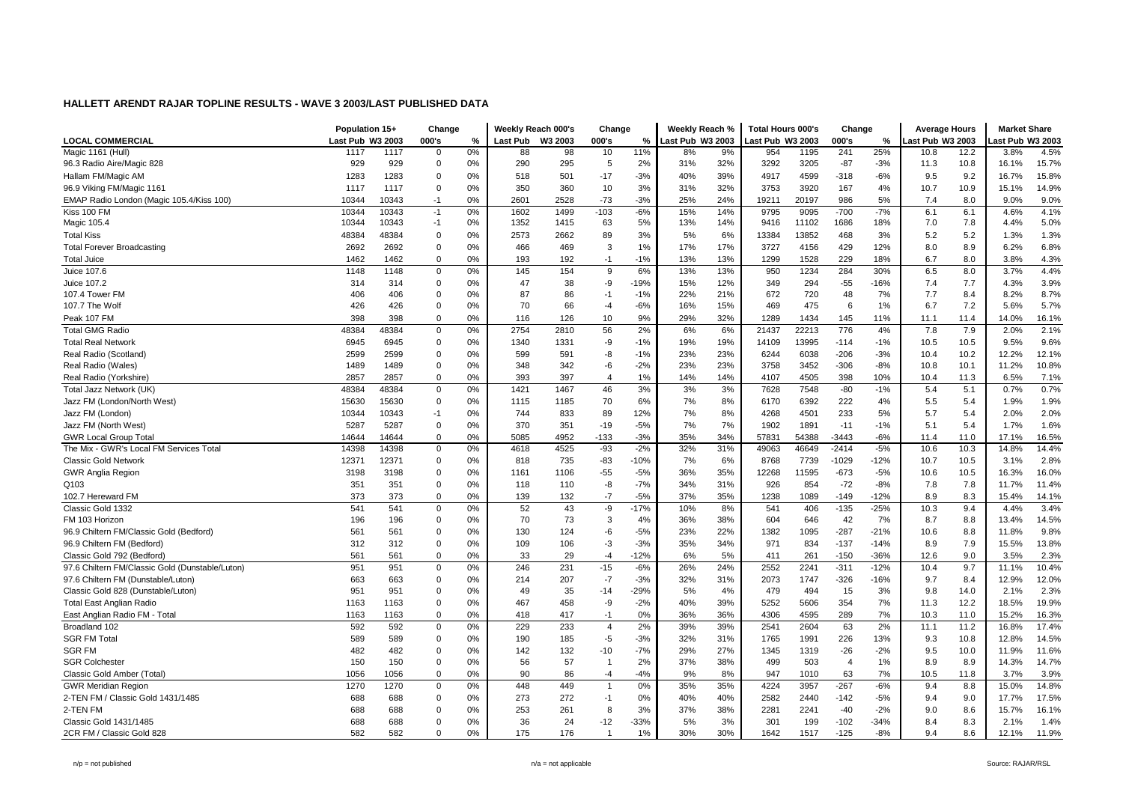|                                                 | Population 15+   |       | Change         |    |                 | Weekly Reach 000's | Change                  |        | Weekly Reach %   |     | <b>Total Hours 000's</b> |       | Change         |        | <b>Average Hours</b> |      | <b>Market Share</b> |       |
|-------------------------------------------------|------------------|-------|----------------|----|-----------------|--------------------|-------------------------|--------|------------------|-----|--------------------------|-------|----------------|--------|----------------------|------|---------------------|-------|
| <b>LOCAL COMMERCIAL</b>                         | Last Pub W3 2003 |       | 000's          | %  | <b>Last Pub</b> | W3 2003            | 000's                   | $\%$   | Last Pub W3 2003 |     | ast Pub W3 2003          |       | 000's          | $\%$   | ast Pub W3 2003      |      | ast Pub W3 2003     |       |
| Magic 1161 (Hull)                               | 1117             | 1117  | $\overline{0}$ | 0% | 88              | 98                 | 10                      | 11%    | 8%               | 9%  | 954                      | 1195  | 241            | 25%    | 10.8                 | 12.2 | 3.8%                | 4.5%  |
| 96.3 Radio Aire/Magic 828                       | 929              | 929   | $\mathbf 0$    | 0% | 290             | 295                | 5                       | 2%     | 31%              | 32% | 3292                     | 3205  | $-87$          | $-3%$  | 11.3                 | 10.8 | 16.1%               | 15.7% |
| Hallam FM/Magic AM                              | 1283             | 1283  | $\overline{0}$ | 0% | 518             | 501                | $-17$                   | $-3%$  | 40%              | 39% | 4917                     | 4599  | -318           | $-6%$  | 9.5                  | 9.2  | 16.7%               | 15.8% |
| 96.9 Viking FM/Magic 1161                       | 1117             | 1117  | $\mathbf 0$    | 0% | 350             | 360                | 10                      | 3%     | 31%              | 32% | 3753                     | 3920  | 167            | 4%     | 10.7                 | 10.9 | 15.1%               | 14.9% |
| EMAP Radio London (Magic 105.4/Kiss 100)        | 10344            | 10343 | $-1$           | 0% | 2601            | 2528               | $-73$                   | $-3%$  | 25%              | 24% | 19211                    | 20197 | 986            | 5%     | 7.4                  | 8.0  | 9.0%                | 9.0%  |
| Kiss 100 FM                                     | 10344            | 10343 | $-1$           | 0% | 1602            | 1499               | $-103$                  | $-6%$  | 15%              | 14% | 9795                     | 9095  | $-700$         | $-7%$  | 6.1                  | 6.1  | 4.6%                | 4.1%  |
| Magic 105.4                                     | 10344            | 10343 | $-1$           | 0% | 1352            | 1415               | 63                      | 5%     | 13%              | 14% | 9416                     | 11102 | 1686           | 18%    | 7.0                  | 7.8  | 4.4%                | 5.0%  |
| <b>Total Kiss</b>                               | 48384            | 48384 | $\overline{0}$ | 0% | 2573            | 2662               | 89                      | 3%     | 5%               | 6%  | 13384                    | 13852 | 468            | 3%     | 5.2                  | 5.2  | 1.3%                | 1.3%  |
| <b>Total Forever Broadcasting</b>               | 2692             | 2692  | $\mathbf 0$    | 0% | 466             | 469                | 3                       | 1%     | 17%              | 17% | 3727                     | 4156  | 429            | 12%    | 8.0                  | 8.9  | 6.2%                | 6.8%  |
| <b>Total Juice</b>                              | 1462             | 1462  | $\mathbf 0$    | 0% | 193             | 192                | $-1$                    | $-1%$  | 13%              | 13% | 1299                     | 1528  | 229            | 18%    | 6.7                  | 8.0  | 3.8%                | 4.3%  |
| Juice 107.6                                     | 1148             | 1148  | $\mathbf 0$    | 0% | 145             | 154                | 9                       | 6%     | 13%              | 13% | 950                      | 1234  | 284            | 30%    | 6.5                  | 8.0  | 3.7%                | 4.4%  |
| Juice 107.2                                     | 314              | 314   | $\mathbf 0$    | 0% | 47              | 38                 | -9                      | -19%   | 15%              | 12% | 349                      | 294   | $-55$          | $-16%$ | 7.4                  | 7.7  | 4.3%                | 3.9%  |
| 107.4 Tower FM                                  | 406              | 406   | $\mathbf 0$    | 0% | 87              | 86                 | $-1$                    | $-1%$  | 22%              | 21% | 672                      | 720   | 48             | 7%     | 7.7                  | 8.4  | 8.2%                | 8.7%  |
| 107.7 The Wolf                                  | 426              | 426   | $\mathbf 0$    | 0% | 70              | 66                 | $-4$                    | $-6%$  | 16%              | 15% | 469                      | 475   | 6              | 1%     | 6.7                  | 7.2  | 5.6%                | 5.7%  |
| Peak 107 FM                                     | 398              | 398   | $\mathbf 0$    | 0% | 116             | 126                | 10                      | 9%     | 29%              | 32% | 1289                     | 1434  | 145            | 11%    | 11.1                 | 11.4 | 14.0%               | 16.1% |
| <b>Total GMG Radio</b>                          | 48384            | 48384 | $\mathbf 0$    | 0% | 2754            | 2810               | 56                      | 2%     | 6%               | 6%  | 21437                    | 22213 | 776            | 4%     | 7.8                  | 7.9  | 2.0%                | 2.1%  |
| <b>Total Real Network</b>                       | 6945             | 6945  | $\mathbf 0$    | 0% | 1340            | 1331               | -9                      | $-1%$  | 19%              | 19% | 14109                    | 13995 | $-114$         | $-1%$  | 10.5                 | 10.5 | 9.5%                | 9.6%  |
| Real Radio (Scotland)                           | 2599             | 2599  | $\mathbf 0$    | 0% | 599             | 591                | -8                      | $-1%$  | 23%              | 23% | 6244                     | 6038  | $-206$         | $-3%$  | 10.4                 | 10.2 | 12.2%               | 12.1% |
| Real Radio (Wales)                              | 1489             | 1489  | $\mathbf 0$    | 0% | 348             | 342                | $-6$                    | $-2%$  | 23%              | 23% | 3758                     | 3452  | $-306$         | $-8%$  | 10.8                 | 10.1 | 11.2%               | 10.8% |
| Real Radio (Yorkshire)                          | 2857             | 2857  | $\mathbf 0$    | 0% | 393             | 397                | $\overline{\mathbf{4}}$ | 1%     | 14%              | 14% | 4107                     | 4505  | 398            | 10%    | 10.4                 | 11.3 | 6.5%                | 7.1%  |
| Total Jazz Network (UK)                         | 48384            | 48384 | $\mathbf 0$    | 0% | 1421            | 1467               | 46                      | 3%     | 3%               | 3%  | 7628                     | 7548  | $-80$          | $-1%$  | 5.4                  | 5.1  | 0.7%                | 0.7%  |
| Jazz FM (London/North West)                     | 15630            | 15630 | $\mathbf 0$    | 0% | 1115            | 1185               | 70                      | 6%     | 7%               | 8%  | 6170                     | 6392  | 222            | 4%     | 5.5                  | 5.4  | 1.9%                | 1.9%  |
| Jazz FM (London)                                | 10344            | 10343 | $-1$           | 0% | 744             | 833                | 89                      | 12%    | 7%               | 8%  | 4268                     | 4501  | 233            | 5%     | 5.7                  | 5.4  | 2.0%                | 2.0%  |
| Jazz FM (North West)                            | 5287             | 5287  | $\mathbf 0$    | 0% | 370             | 351                | $-19$                   | $-5%$  | 7%               | 7%  | 1902                     | 1891  | $-11$          | $-1%$  | 5.1                  | 5.4  | 1.7%                | 1.6%  |
| <b>GWR Local Group Tota</b>                     | 14644            | 14644 | $\mathbf 0$    | 0% | 5085            | 4952               | $-133$                  | $-3%$  | 35%              | 34% | 57831                    | 54388 | $-3443$        | $-6%$  | 11.4                 | 11.0 | 17.1%               | 16.5% |
| The Mix - GWR's Local FM Services Total         | 14398            | 14398 | $\mathbf 0$    | 0% | 4618            | 4525               | $-93$                   | $-2%$  | 32%              | 31% | 49063                    | 46649 | $-2414$        | $-5%$  | 10.6                 | 10.3 | 14.8%               | 14.4% |
| <b>Classic Gold Network</b>                     | 12371            | 12371 | $\mathbf 0$    | 0% | 818             | 735                | $-83$                   | $-10%$ | 7%               | 6%  | 8768                     | 7739  | $-1029$        | $-12%$ | 10.7                 | 10.5 | 3.1%                | 2.8%  |
| <b>GWR Anglia Region</b>                        | 3198             | 3198  | $\mathbf 0$    | 0% | 1161            | 1106               | $-55$                   | $-5%$  | 36%              | 35% | 12268                    | 11595 | $-673$         | $-5%$  | 10.6                 | 10.5 | 16.3%               | 16.0% |
| Q103                                            | 351              | 351   | $\mathbf 0$    | 0% | 118             | 110                | $-8$                    | $-7%$  | 34%              | 31% | 926                      | 854   | $-72$          | $-8%$  | 7.8                  | 7.8  | 11.7%               | 11.4% |
| 102.7 Hereward FM                               | 373              | 373   | $\mathbf 0$    | 0% | 139             | 132                | $-7$                    | $-5%$  | 37%              | 35% | 1238                     | 1089  | $-149$         | $-12%$ | 8.9                  | 8.3  | 15.4%               | 14.1% |
| Classic Gold 1332                               | 541              | 541   | $\mathbf 0$    | 0% | 52              | 43                 | -9                      | $-17%$ | 10%              | 8%  | 541                      | 406   | $-135$         | $-25%$ | 10.3                 | 9.4  | 4.4%                | 3.4%  |
| FM 103 Horizon                                  | 196              | 196   | $\mathbf 0$    | 0% | 70              | 73                 | 3                       | 4%     | 36%              | 38% | 604                      | 646   | 42             | 7%     | 8.7                  | 8.8  | 13.4%               | 14.5% |
| 96.9 Chiltern FM/Classic Gold (Bedford)         | 561              | 561   | $\mathbf 0$    | 0% | 130             | 124                | -6                      | $-5%$  | 23%              | 22% | 1382                     | 1095  | $-287$         | $-21%$ | 10.6                 | 8.8  | 11.8%               | 9.8%  |
| 96.9 Chiltern FM (Bedford)                      | 312              | 312   | $\mathbf 0$    | 0% | 109             | 106                | -3                      | $-3%$  | 35%              | 34% | 971                      | 834   | $-137$         | $-14%$ | 8.9                  | 7.9  | 15.5%               | 13.8% |
| Classic Gold 792 (Bedford)                      | 561              | 561   | $\mathbf 0$    | 0% | 33              | 29                 | $-4$                    | $-12%$ | 6%               | 5%  | 411                      | 261   | $-150$         | $-36%$ | 12.6                 | 9.0  | 3.5%                | 2.3%  |
| 97.6 Chiltern FM/Classic Gold (Dunstable/Luton) | 951              | 951   | $\mathbf 0$    | 0% | 246             | 231                | $-15$                   | $-6%$  | 26%              | 24% | 2552                     | 2241  | $-311$         | $-12%$ | 10.4                 | 9.7  | 11.1%               | 10.4% |
| 97.6 Chiltern FM (Dunstable/Luton)              | 663              | 663   | $\mathbf 0$    | 0% | 214             | 207                | $-7$                    | $-3%$  | 32%              | 31% | 2073                     | 1747  | -326           | $-16%$ | 9.7                  | 8.4  | 12.9%               | 12.0% |
| Classic Gold 828 (Dunstable/Luton)              | 951              | 951   | $\mathbf 0$    | 0% | 49              | 35                 | $-14$                   | $-29%$ | 5%               | 4%  | 479                      | 494   | 15             | 3%     | 9.8                  | 14.0 | 2.1%                | 2.3%  |
| <b>Total East Anglian Radio</b>                 | 1163             | 1163  | $\mathbf 0$    | 0% | 467             | 458                | -9                      | $-2%$  | 40%              | 39% | 5252                     | 5606  | 354            | 7%     | 11.3                 | 12.2 | 18.5%               | 19.9% |
| East Anglian Radio FM - Total                   | 1163             | 1163  | $\mathbf 0$    | 0% | 418             | 417                | $-1$                    | 0%     | 36%              | 36% | 4306                     | 4595  | 289            | 7%     | 10.3                 | 11.0 | 15.2%               | 16.3% |
| Broadland 102                                   | 592              | 592   | $\mathbf 0$    | 0% | 229             | 233                | 4                       | 2%     | 39%              | 39% | 2541                     | 2604  | 63             | 2%     | 11.1                 | 11.2 | 16.8%               | 17.4% |
| <b>SGR FM Total</b>                             | 589              | 589   | $\mathbf 0$    | 0% | 190             | 185                | $-5$                    | $-3%$  | 32%              | 31% | 1765                     | 1991  | 226            | 13%    | 9.3                  | 10.8 | 12.8%               | 14.5% |
| <b>SGR FM</b>                                   | 482              | 482   | $\mathbf 0$    | 0% | 142             | 132                | $-10$                   | $-7%$  | 29%              | 27% | 1345                     | 1319  | $-26$          | $-2%$  | 9.5                  | 10.0 | 11.9%               | 11.6% |
| <b>SGR Colchester</b>                           | 150              | 150   | $\mathbf 0$    | 0% | 56              | 57                 | $\overline{1}$          | 2%     | 37%              | 38% | 499                      | 503   | $\overline{4}$ | 1%     | 8.9                  | 8.9  | 14.3%               | 14.7% |
| Classic Gold Amber (Total)                      | 1056             | 1056  | $\mathbf 0$    | 0% | 90              | 86                 | $-4$                    | $-4%$  | 9%               | 8%  | 947                      | 1010  | 63             | 7%     | 10.5                 | 11.8 | 3.7%                | 3.9%  |
| <b>GWR Meridian Region</b>                      | 1270             | 1270  | $\mathbf 0$    | 0% | 448             | 449                | $\overline{1}$          | 0%     | 35%              | 35% | 4224                     | 3957  | $-267$         | $-6%$  | 9.4                  | 8.8  | 15.0%               | 14.8% |
| 2-TEN FM / Classic Gold 1431/1485               | 688              | 688   | $\mathbf 0$    | 0% | 273             | 272                | $-1$                    | 0%     | 40%              | 40% | 2582                     | 2440  | $-142$         | $-5%$  | 9.4                  | 9.0  | 17.7%               | 17.5% |
| 2-TEN FM                                        | 688              | 688   | $\mathbf 0$    | 0% | 253             | 261                | 8                       | 3%     | 37%              | 38% | 2281                     | 2241  | $-40$          | $-2%$  | 9.0                  | 8.6  | 15.7%               | 16.1% |
| Classic Gold 1431/1485                          | 688              | 688   | $\mathbf 0$    | 0% | 36              | 24                 | $-12$                   | $-33%$ | 5%               | 3%  | 301                      | 199   | $-102$         | $-34%$ | 8.4                  | 8.3  | 2.1%                | 1.4%  |
| 2CR FM / Classic Gold 828                       | 582              | 582   | $\mathbf 0$    | 0% | 175             | 176                | $\overline{1}$          | 1%     | 30%              | 30% | 1642                     | 1517  | $-125$         | $-8%$  | 9.4                  | 8.6  | 12.1%               | 11.9% |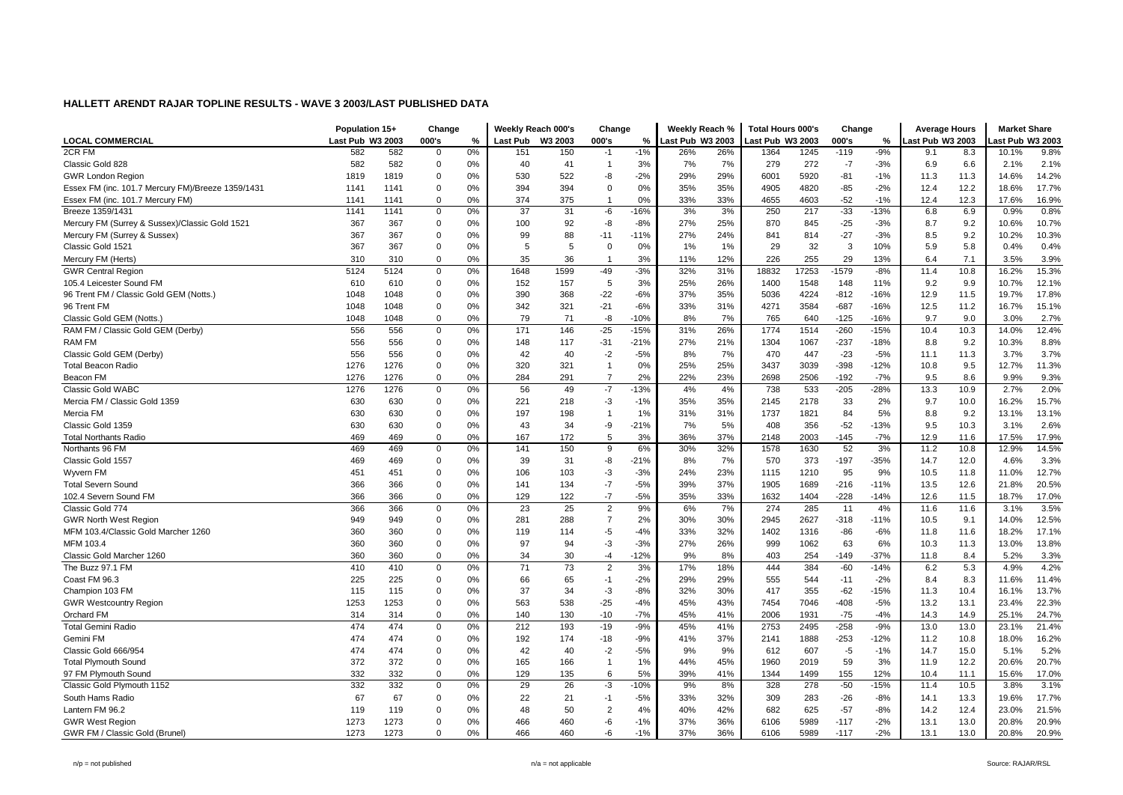|                                                   | Population 15+   |      | Change         |    |          | Weekly Reach 000's | Change         |        | Weekly Reach %   |     | <b>Total Hours 000's</b> |       | Change  |        | <b>Average Hours</b> |      | <b>Market Share</b> |       |
|---------------------------------------------------|------------------|------|----------------|----|----------|--------------------|----------------|--------|------------------|-----|--------------------------|-------|---------|--------|----------------------|------|---------------------|-------|
| <b>LOCAL COMMERCIAL</b>                           | Last Pub W3 2003 |      | 000's          | %  | Last Pub | W3 2003            | 000's          | $\%$   | Last Pub W3 2003 |     | Last Pub W3 2003         |       | 000's   | $\%$   | ast Pub W3 2003      |      | ast Pub W3 2003     |       |
| 2CR FM                                            | 582              | 582  | $\mathbf 0$    | 0% | 151      | 150                | $-1$           | $-1%$  | 26%              | 26% | 1364                     | 1245  | $-119$  | $-9%$  | 9.1                  | 8.3  | 10.1%               | 9.8%  |
| Classic Gold 828                                  | 582              | 582  | $\mathbf 0$    | 0% | 40       | 41                 | $\overline{1}$ | 3%     | 7%               | 7%  | 279                      | 272   | $-7$    | $-3%$  | 6.9                  | 6.6  | 2.1%                | 2.1%  |
| <b>GWR London Region</b>                          | 1819             | 1819 | $\Omega$       | 0% | 530      | 522                | -8             | $-2%$  | 29%              | 29% | 6001                     | 5920  | $-81$   | $-1%$  | 11.3                 | 11.3 | 14.6%               | 14.2% |
| Essex FM (inc. 101.7 Mercury FM)/Breeze 1359/1431 | 1141             | 1141 | $\overline{0}$ | 0% | 394      | 394                | $\Omega$       | 0%     | 35%              | 35% | 4905                     | 4820  | $-85$   | $-2%$  | 12.4                 | 12.2 | 18.6%               | 17.7% |
| Essex FM (inc. 101.7 Mercury FM)                  | 1141             | 1141 | 0              | 0% | 374      | 375                |                | 0%     | 33%              | 33% | 4655                     | 4603  | $-52$   | $-1%$  | 12.4                 | 12.3 | 17.6%               | 16.9% |
| Breeze 1359/1431                                  | 1141             | 1141 | $\mathbf 0$    | 0% | 37       | 31                 | $-6$           | $-16%$ | 3%               | 3%  | 250                      | 217   | $-33$   | $-13%$ | 6.8                  | 6.9  | 0.9%                | 0.8%  |
| Mercury FM (Surrey & Sussex)/Classic Gold 1521    | 367              | 367  | $\overline{0}$ | 0% | 100      | 92                 | -8             | $-8%$  | 27%              | 25% | 870                      | 845   | $-25$   | $-3%$  | 8.7                  | 9.2  | 10.6%               | 10.7% |
| Mercury FM (Surrey & Sussex)                      | 367              | 367  | $\overline{0}$ | 0% | 99       | 88                 | $-11$          | $-11%$ | 27%              | 24% | 841                      | 814   | $-27$   | $-3%$  | 8.5                  | 9.2  | 10.2%               | 10.3% |
| Classic Gold 1521                                 | 367              | 367  | $\mathbf 0$    | 0% | 5        | 5                  | $\Omega$       | 0%     | 1%               | 1%  | 29                       | 32    | 3       | 10%    | 5.9                  | 5.8  | 0.4%                | 0.4%  |
| Mercury FM (Herts)                                | 310              | 310  | 0              | 0% | 35       | 36                 | $\overline{1}$ | 3%     | 11%              | 12% | 226                      | 255   | 29      | 13%    | 6.4                  | 7.1  | 3.5%                | 3.9%  |
| <b>GWR Central Region</b>                         | 5124             | 5124 | $\mathbf 0$    | 0% | 1648     | 1599               | $-49$          | $-3%$  | 32%              | 31% | 18832                    | 17253 | $-1579$ | $-8%$  | 11.4                 | 10.8 | 16.2%               | 15.3% |
| 105.4 Leicester Sound FM                          | 610              | 610  | $\mathbf 0$    | 0% | 152      | 157                | 5              | 3%     | 25%              | 26% | 1400                     | 1548  | 148     | 11%    | 9.2                  | 9.9  | 10.7%               | 12.1% |
| 96 Trent FM / Classic Gold GEM (Notts.)           | 1048             | 1048 | 0              | 0% | 390      | 368                | $-22$          | $-6%$  | 37%              | 35% | 5036                     | 4224  | $-812$  | $-16%$ | 12.9                 | 11.5 | 19.7%               | 17.8% |
| 96 Trent FM                                       | 1048             | 1048 | $\overline{0}$ | 0% | 342      | 321                | $-21$          | $-6%$  | 33%              | 31% | 4271                     | 3584  | $-687$  | $-16%$ | 12.5                 | 11.2 | 16.7%               | 15.1% |
| Classic Gold GEM (Notts.)                         | 1048             | 1048 | $\mathbf 0$    | 0% | 79       | 71                 | -8             | $-10%$ | 8%               | 7%  | 765                      | 640   | $-125$  | $-16%$ | 9.7                  | 9.0  | 3.0%                | 2.7%  |
| RAM FM / Classic Gold GEM (Derby)                 | 556              | 556  | $\mathbf 0$    | 0% | 171      | 146                | $-25$          | $-15%$ | 31%              | 26% | 1774                     | 1514  | $-260$  | $-15%$ | 10.4                 | 10.3 | 14.0%               | 12.4% |
| <b>RAM FM</b>                                     | 556              | 556  | 0              | 0% | 148      | 117                | $-31$          | $-21%$ | 27%              | 21% | 1304                     | 1067  | $-237$  | $-18%$ | 8.8                  | 9.2  | 10.3%               | 8.8%  |
| Classic Gold GEM (Derby)                          | 556              | 556  | $\overline{0}$ | 0% | 42       | 40                 | $-2$           | $-5%$  | 8%               | 7%  | 470                      | 447   | $-23$   | $-5%$  | 11.1                 | 11.3 | 3.7%                | 3.7%  |
| <b>Total Beacon Radio</b>                         | 1276             | 1276 | $\mathbf 0$    | 0% | 320      | 321                | $\mathbf{1}$   | 0%     | 25%              | 25% | 3437                     | 3039  | $-398$  | $-12%$ | 10.8                 | 9.5  | 12.7%               | 11.3% |
| Beacon FM                                         | 1276             | 1276 | 0              | 0% | 284      | 291                | 7              | 2%     | 22%              | 23% | 2698                     | 2506  | $-192$  | $-7%$  | 9.5                  | 8.6  | 9.9%                | 9.3%  |
| Classic Gold WABC                                 | 1276             | 1276 | $\mathbf 0$    | 0% | 56       | 49                 | $-7$           | $-13%$ | 4%               | 4%  | 738                      | 533   | $-205$  | $-28%$ | 13.3                 | 10.9 | 2.7%                | 2.0%  |
| Mercia FM / Classic Gold 1359                     | 630              | 630  | $\mathbf 0$    | 0% | 221      | 218                | $-3$           | $-1%$  | 35%              | 35% | 2145                     | 2178  | 33      | 2%     | 9.7                  | 10.0 | 16.2%               | 15.7% |
| Mercia FM                                         | 630              | 630  | $\Omega$       | 0% | 197      | 198                |                | 1%     | 31%              | 31% | 1737                     | 1821  | 84      | 5%     | 8.8                  | 9.2  | 13.1%               | 13.1% |
| Classic Gold 1359                                 | 630              | 630  | $\overline{0}$ | 0% | 43       | 34                 | -9             | $-21%$ | 7%               | 5%  | 408                      | 356   | $-52$   | $-13%$ | 9.5                  | 10.3 | 3.1%                | 2.6%  |
| <b>Total Northants Radio</b>                      | 469              | 469  | $\mathbf 0$    | 0% | 167      | 172                | 5              | 3%     | 36%              | 37% | 2148                     | 2003  | -145    | $-7%$  | 12.9                 | 11.6 | 17.5%               | 17.9% |
| Northants 96 FM                                   | 469              | 469  | $\mathbf 0$    | 0% | 141      | 150                | 9              | 6%     | 30%              | 32% | 1578                     | 1630  | 52      | 3%     | 11.2                 | 10.8 | 12.9%               | 14.5% |
| Classic Gold 1557                                 | 469              | 469  | $\mathbf 0$    | 0% | 39       | 31                 | $-8$           | $-21%$ | 8%               | 7%  | 570                      | 373   | $-197$  | $-35%$ | 14.7                 | 12.0 | 4.6%                | 3.3%  |
| Wyvern FM                                         | 451              | 451  | $\overline{0}$ | 0% | 106      | 103                | $-3$           | $-3%$  | 24%              | 23% | 1115                     | 1210  | 95      | 9%     | 10.5                 | 11.8 | 11.0%               | 12.7% |
| <b>Total Severn Sound</b>                         | 366              | 366  | $\mathbf 0$    | 0% | 141      | 134                | $-7$           | $-5%$  | 39%              | 37% | 1905                     | 1689  | $-216$  | $-11%$ | 13.5                 | 12.6 | 21.8%               | 20.5% |
| 102.4 Severn Sound FM                             | 366              | 366  | $\mathbf 0$    | 0% | 129      | 122                | $-7$           | $-5%$  | 35%              | 33% | 1632                     | 1404  | $-228$  | $-14%$ | 12.6                 | 11.5 | 18.7%               | 17.0% |
| Classic Gold 774                                  | 366              | 366  | $\mathsf 0$    | 0% | 23       | 25                 | $\overline{2}$ | 9%     | 6%               | 7%  | 274                      | 285   | 11      | 4%     | 11.6                 | 11.6 | 3.1%                | 3.5%  |
| <b>GWR North West Region</b>                      | 949              | 949  | $\mathbf 0$    | 0% | 281      | 288                | $\overline{7}$ | 2%     | 30%              | 30% | 2945                     | 2627  | $-318$  | $-11%$ | 10.5                 | 9.1  | 14.0%               | 12.5% |
| MFM 103.4/Classic Gold Marcher 1260               | 360              | 360  | $\mathbf 0$    | 0% | 119      | 114                | $-5$           | $-4%$  | 33%              | 32% | 1402                     | 1316  | -86     | $-6%$  | 11.8                 | 11.6 | 18.2%               | 17.1% |
| MFM 103.4                                         | 360              | 360  | $\overline{0}$ | 0% | 97       | 94                 | $-3$           | $-3%$  | 27%              | 26% | 999                      | 1062  | 63      | 6%     | 10.3                 | 11.3 | 13.0%               | 13.8% |
| Classic Gold Marcher 1260                         | 360              | 360  | $\mathbf 0$    | 0% | 34       | 30                 | $-4$           | $-12%$ | 9%               | 8%  | 403                      | 254   | -149    | $-37%$ | 11.8                 | 8.4  | 5.2%                | 3.3%  |
| The Buzz 97.1 FM                                  | 410              | 410  | $\mathbf 0$    | 0% | 71       | 73                 | $\overline{2}$ | 3%     | 17%              | 18% | 444                      | 384   | $-60$   | $-14%$ | 6.2                  | 5.3  | 4.9%                | 4.2%  |
| Coast FM 96.3                                     | 225              | 225  | 0              | 0% | 66       | 65                 | $-1$           | $-2%$  | 29%              | 29% | 555                      | 544   | $-11$   | $-2%$  | 8.4                  | 8.3  | 11.6%               | 11.4% |
| Champion 103 FM                                   | 115              | 115  | $\overline{0}$ | 0% | 37       | 34                 | $-3$           | $-8%$  | 32%              | 30% | 417                      | 355   | $-62$   | $-15%$ | 11.3                 | 10.4 | 16.1%               | 13.7% |
| <b>GWR Westcountry Region</b>                     | 1253             | 1253 | $\Omega$       | 0% | 563      | 538                | $-25$          | $-4%$  | 45%              | 43% | 7454                     | 7046  | $-408$  | $-5%$  | 13.2                 | 13.1 | 23.4%               | 22.3% |
| Orchard FM                                        | 314              | 314  | $\mathbf 0$    | 0% | 140      | 130                | $-10$          | $-7%$  | 45%              | 41% | 2006                     | 1931  | $-75$   | $-4%$  | 14.3                 | 14.9 | 25.1%               | 24.7% |
| <b>Total Gemini Radio</b>                         | 474              | 474  | 0              | 0% | 212      | 193                | $-19$          | $-9%$  | 45%              | 41% | 2753                     | 2495  | $-258$  | $-9%$  | 13.0                 | 13.0 | 23.1%               | 21.4% |
| Gemini FM                                         | 474              | 474  | $\mathbf 0$    | 0% | 192      | 174                | $-18$          | $-9%$  | 41%              | 37% | 2141                     | 1888  | $-253$  | $-12%$ | 11.2                 | 10.8 | 18.0%               | 16.2% |
| Classic Gold 666/954                              | 474              | 474  | $\Omega$       | 0% | 42       | 40                 | $-2$           | $-5%$  | 9%               | 9%  | 612                      | 607   | $-5$    | $-1%$  | 14.7                 | 15.0 | 5.1%                | 5.2%  |
| <b>Total Plymouth Sound</b>                       | 372              | 372  | 0              | 0% | 165      | 166                | $\overline{1}$ | 1%     | 44%              | 45% | 1960                     | 2019  | 59      | 3%     | 11.9                 | 12.2 | 20.6%               | 20.7% |
| 97 FM Plymouth Sound                              | 332              | 332  | $\mathbf 0$    | 0% | 129      | 135                | 6              | 5%     | 39%              | 41% | 1344                     | 1499  | 155     | 12%    | 10.4                 | 11.1 | 15.6%               | 17.0% |
| Classic Gold Plymouth 1152                        | 332              | 332  | 0              | 0% | 29       | 26                 | $-3$           | $-10%$ | 9%               | 8%  | 328                      | 278   | $-50$   | $-15%$ | 11.4                 | 10.5 | 3.8%                | 3.1%  |
| South Hams Radio                                  | 67               | 67   | $\mathbf 0$    | 0% | 22       | 21                 | $-1$           | $-5%$  | 33%              | 32% | 309                      | 283   | $-26$   | $-8%$  | 14.1                 | 13.3 | 19.6%               | 17.7% |
| Lantern FM 96.2                                   | 119              | 119  | $\overline{0}$ | 0% | 48       | 50                 | $\overline{2}$ | 4%     | 40%              | 42% | 682                      | 625   | $-57$   | $-8%$  | 14.2                 | 12.4 | 23.0%               | 21.5% |
| <b>GWR West Region</b>                            | 1273             | 1273 | $\overline{0}$ | 0% | 466      | 460                | -6             | $-1%$  | 37%              | 36% | 6106                     | 5989  | $-117$  | $-2%$  | 13.1                 | 13.0 | 20.8%               | 20.9% |
| GWR FM / Classic Gold (Brunel)                    | 1273             | 1273 | $\mathbf 0$    | 0% | 466      | 460                | -6             | $-1%$  | 37%              | 36% | 6106                     | 5989  | $-117$  | $-2%$  | 13.1                 | 13.0 | 20.8%               | 20.9% |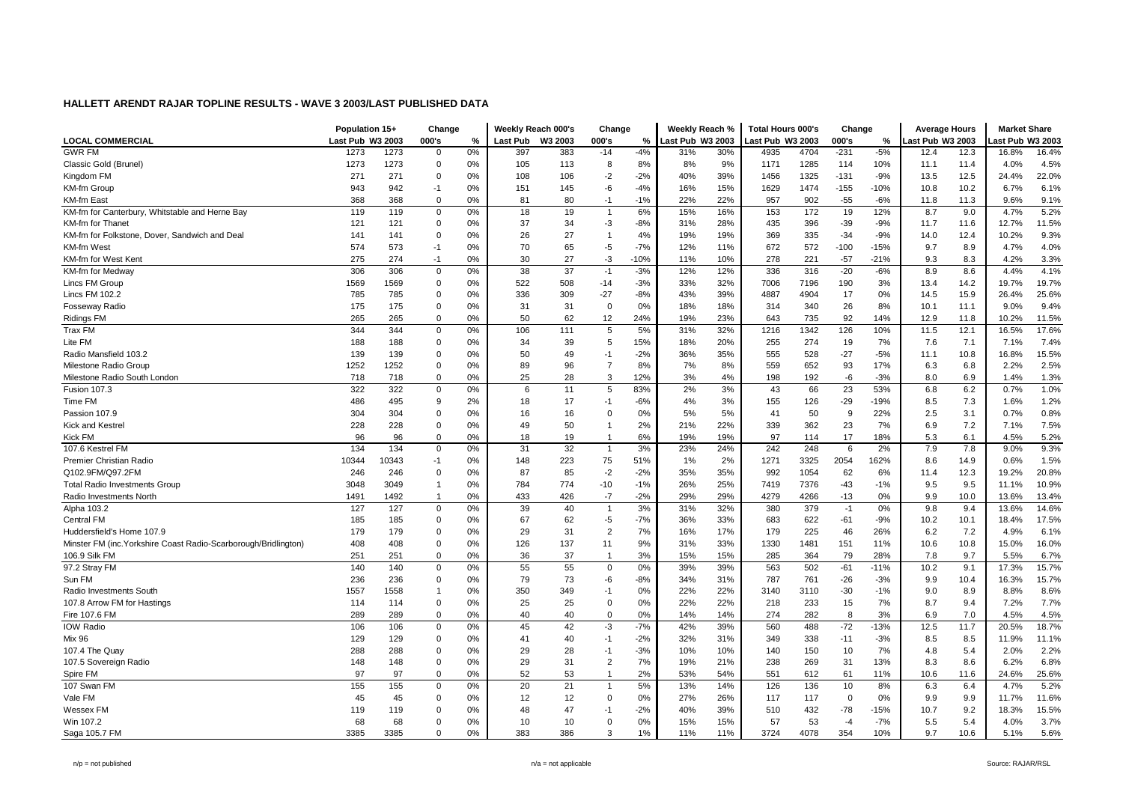|                                                                 | Population 15+   |       | Change         |    |                 | Weekly Reach 000's | Change         |        | Weekly Reach %   |     | <b>Total Hours 000's</b> |      | Change         |        | <b>Average Hours</b> |      | <b>Market Share</b> |       |
|-----------------------------------------------------------------|------------------|-------|----------------|----|-----------------|--------------------|----------------|--------|------------------|-----|--------------------------|------|----------------|--------|----------------------|------|---------------------|-------|
| <b>LOCAL COMMERCIAL</b>                                         | Last Pub W3 2003 |       | 000's          | %  | <b>Last Pub</b> | W3 2003            | 000's          | $\%$   | Last Pub W3 2003 |     | Last Pub W3 2003         |      | 000's          | $\%$   | ast Pub W3 2003      |      | ast Pub W3 2003     |       |
| <b>GWR FM</b>                                                   | 1273             | 1273  | $\mathbf 0$    | 0% | 397             | 383                | $-14$          | $-4%$  | 31%              | 30% | 4935                     | 4704 | $-231$         | $-5%$  | 12.4                 | 12.3 | 16.8%               | 16.4% |
| Classic Gold (Brunel)                                           | 1273             | 1273  | $\mathbf 0$    | 0% | 105             | 113                | 8              | 8%     | 8%               | 9%  | 1171                     | 1285 | 114            | 10%    | 11.1                 | 11.4 | 4.0%                | 4.5%  |
| Kingdom FM                                                      | 271              | 271   | $\Omega$       | 0% | 108             | 106                | $-2$           | $-2%$  | 40%              | 39% | 1456                     | 1325 | $-131$         | $-9%$  | 13.5                 | 12.5 | 24.4%               | 22.0% |
| KM-fm Group                                                     | 943              | 942   | $-1$           | 0% | 151             | 145                | $-6$           | $-4%$  | 16%              | 15% | 1629                     | 1474 | $-155$         | $-10%$ | 10.8                 | 10.2 | 6.7%                | 6.1%  |
| <b>KM-fm East</b>                                               | 368              | 368   | $\mathbf 0$    | 0% | 81              | 80                 | $-1$           | $-1%$  | 22%              | 22% | 957                      | 902  | $-55$          | $-6%$  | 11.8                 | 11.3 | 9.6%                | 9.1%  |
| KM-fm for Canterbury, Whitstable and Herne Bay                  | 119              | 119   | $\mathbf 0$    | 0% | 18              | 19                 | $\overline{1}$ | 6%     | 15%              | 16% | 153                      | 172  | 19             | 12%    | 8.7                  | 9.0  | 4.7%                | 5.2%  |
| KM-fm for Thanet                                                | 121              | 121   | $\overline{0}$ | 0% | 37              | 34                 | $-3$           | $-8%$  | 31%              | 28% | 435                      | 396  | $-39$          | $-9%$  | 11.7                 | 11.6 | 12.7%               | 11.5% |
| KM-fm for Folkstone, Dover, Sandwich and Deal                   | 141              | 141   | $\overline{0}$ | 0% | 26              | 27                 | $\overline{1}$ | 4%     | 19%              | 19% | 369                      | 335  | $-34$          | $-9%$  | 14.0                 | 12.4 | 10.2%               | 9.3%  |
| <b>KM-fm West</b>                                               | 574              | 573   | $-1$           | 0% | 70              | 65                 | $-5$           | $-7%$  | 12%              | 11% | 672                      | 572  | $-100$         | $-15%$ | 9.7                  | 8.9  | 4.7%                | 4.0%  |
| KM-fm for West Kent                                             | 275              | 274   | $-1$           | 0% | 30              | 27                 | $-3$           | $-10%$ | 11%              | 10% | 278                      | 221  | $-57$          | $-21%$ | 9.3                  | 8.3  | 4.2%                | 3.3%  |
| KM-fm for Medway                                                | 306              | 306   | $\mathsf 0$    | 0% | 38              | 37                 | $-1$           | $-3%$  | 12%              | 12% | 336                      | 316  | $-20$          | $-6%$  | 8.9                  | 8.6  | 4.4%                | 4.1%  |
| Lincs FM Group                                                  | 1569             | 1569  | $\mathbf 0$    | 0% | 522             | 508                | $-14$          | $-3%$  | 33%              | 32% | 7006                     | 7196 | 190            | 3%     | 13.4                 | 14.2 | 19.7%               | 19.7% |
| Lincs FM 102.2                                                  | 785              | 785   | 0              | 0% | 336             | 309                | $-27$          | $-8%$  | 43%              | 39% | 4887                     | 4904 | 17             | 0%     | 14.5                 | 15.9 | 26.4%               | 25.6% |
| <b>Fosseway Radio</b>                                           | 175              | 175   | $\mathbf 0$    | 0% | 31              | 31                 | $\Omega$       | 0%     | 18%              | 18% | 314                      | 340  | 26             | 8%     | 10.1                 | 11.1 | 9.0%                | 9.4%  |
| <b>Ridings FM</b>                                               | 265              | 265   | $\mathbf 0$    | 0% | 50              | 62                 | 12             | 24%    | 19%              | 23% | 643                      | 735  | 92             | 14%    | 12.9                 | 11.8 | 10.2%               | 11.5% |
| Trax FM                                                         | 344              | 344   | $\mathbf 0$    | 0% | 106             | 111                | 5              | 5%     | 31%              | 32% | 1216                     | 1342 | 126            | 10%    | 11.5                 | 12.1 | 16.5%               | 17.6% |
| Lite FM                                                         | 188              | 188   | 0              | 0% | 34              | 39                 | 5              | 15%    | 18%              | 20% | 255                      | 274  | 19             | 7%     | 7.6                  | 7.1  | 7.1%                | 7.4%  |
| Radio Mansfield 103.2                                           | 139              | 139   | $\overline{0}$ | 0% | 50              | 49                 | $-1$           | $-2%$  | 36%              | 35% | 555                      | 528  | $-27$          | $-5%$  | 11.1                 | 10.8 | 16.8%               | 15.5% |
| Milestone Radio Group                                           | 1252             | 1252  | $\mathbf 0$    | 0% | 89              | 96                 | $\overline{7}$ | 8%     | 7%               | 8%  | 559                      | 652  | 93             | 17%    | 6.3                  | 6.8  | 2.2%                | 2.5%  |
| Milestone Radio South London                                    | 718              | 718   | 0              | 0% | 25              | 28                 | 3              | 12%    | 3%               | 4%  | 198                      | 192  | -6             | $-3%$  | 8.0                  | 6.9  | 1.4%                | 1.3%  |
| <b>Fusion 107.3</b>                                             | 322              | 322   | $\mathbf 0$    | 0% | 6               | 11                 | 5              | 83%    | 2%               | 3%  | 43                       | 66   | 23             | 53%    | 6.8                  | 6.2  | 0.7%                | 1.0%  |
| Time FM                                                         | 486              | 495   | 9              | 2% | 18              | 17                 | $-1$           | $-6%$  | 4%               | 3%  | 155                      | 126  | $-29$          | $-19%$ | 8.5                  | 7.3  | 1.6%                | 1.2%  |
| Passion 107.9                                                   | 304              | 304   | $\Omega$       | 0% | 16              | 16                 | $\Omega$       | 0%     | 5%               | 5%  | 41                       | 50   | 9              | 22%    | 2.5                  | 3.1  | 0.7%                | 0.8%  |
| Kick and Kestrel                                                | 228              | 228   | $\mathbf 0$    | 0% | 49              | 50                 | -1             | 2%     | 21%              | 22% | 339                      | 362  | 23             | 7%     | 6.9                  | 7.2  | 7.1%                | 7.5%  |
| Kick FM                                                         | 96               | 96    | $\mathbf 0$    | 0% | 18              | 19                 | $\overline{1}$ | 6%     | 19%              | 19% | 97                       | 114  | 17             | 18%    | 5.3                  | 6.1  | 4.5%                | 5.2%  |
| 107.6 Kestrel FM                                                | 134              | 134   | $\Omega$       | 0% | 31              | 32                 | $\overline{1}$ | 3%     | 23%              | 24% | 242                      | 248  | 6              | 2%     | 7.9                  | 7.8  | 9.0%                | 9.3%  |
| Premier Christian Radio                                         | 10344            | 10343 | $-1$           | 0% | 148             | 223                | 75             | 51%    | 1%               | 2%  | 1271                     | 3325 | 2054           | 162%   | 8.6                  | 14.9 | 0.6%                | 1.5%  |
| Q102.9FM/Q97.2FM                                                | 246              | 246   | $\overline{0}$ | 0% | 87              | 85                 | $-2$           | $-2%$  | 35%              | 35% | 992                      | 1054 | 62             | 6%     | 11.4                 | 12.3 | 19.2%               | 20.8% |
| <b>Total Radio Investments Group</b>                            | 3048             | 3049  | $\overline{1}$ | 0% | 784             | 774                | $-10$          | $-1%$  | 26%              | 25% | 7419                     | 7376 | -43            | $-1%$  | 9.5                  | 9.5  | 11.1%               | 10.9% |
| Radio Investments North                                         | 1491             | 1492  | $\overline{1}$ | 0% | 433             | 426                | $-7$           | $-2%$  | 29%              | 29% | 4279                     | 4266 | $-13$          | $0\%$  | 9.9                  | 10.0 | 13.6%               | 13.4% |
| Alpha 103.2                                                     | 127              | 127   | $\mathsf 0$    | 0% | 39              | 40                 | $\overline{1}$ | 3%     | 31%              | 32% | 380                      | 379  | $-1$           | 0%     | 9.8                  | 9.4  | 13.6%               | 14.6% |
| Central FM                                                      | 185              | 185   | 0              | 0% | 67              | 62                 | $-5$           | $-7%$  | 36%              | 33% | 683                      | 622  | $-61$          | $-9%$  | 10.2                 | 10.1 | 18.4%               | 17.5% |
| Huddersfield's Home 107.9                                       | 179              | 179   | $\mathbf 0$    | 0% | 29              | 31                 | $\overline{2}$ | 7%     | 16%              | 17% | 179                      | 225  | 46             | 26%    | 6.2                  | 7.2  | 4.9%                | 6.1%  |
| Minster FM (inc. Yorkshire Coast Radio-Scarborough/Bridlington) | 408              | 408   | $\overline{0}$ | 0% | 126             | 137                | 11             | 9%     | 31%              | 33% | 1330                     | 1481 | 151            | 11%    | 10.6                 | 10.8 | 15.0%               | 16.0% |
| 106.9 Silk FM                                                   | 251              | 251   | $\mathbf 0$    | 0% | 36              | 37                 | $\mathbf 1$    | 3%     | 15%              | 15% | 285                      | 364  | 79             | 28%    | 7.8                  | 9.7  | 5.5%                | 6.7%  |
| 97.2 Stray FM                                                   | 140              | 140   | $\mathbf 0$    | 0% | 55              | 55                 | $\mathbf 0$    | 0%     | 39%              | 39% | 563                      | 502  | $-61$          | $-11%$ | 10.2                 | 9.1  | 17.3%               | 15.7% |
| Sun FM                                                          | 236              | 236   | 0              | 0% | 79              | 73                 | -6             | $-8%$  | 34%              | 31% | 787                      | 761  | $-26$          | $-3%$  | 9.9                  | 10.4 | 16.3%               | 15.7% |
| Radio Investments South                                         | 1557             | 1558  | $\overline{1}$ | 0% | 350             | 349                | $-1$           | 0%     | 22%              | 22% | 3140                     | 3110 | $-30$          | $-1%$  | 9.0                  | 8.9  | 8.8%                | 8.6%  |
| 107.8 Arrow FM for Hastings                                     | 114              | 114   | $\Omega$       | 0% | 25              | 25                 | $\Omega$       | 0%     | 22%              | 22% | 218                      | 233  | 15             | 7%     | 8.7                  | 9.4  | 7.2%                | 7.7%  |
| Fire 107.6 FM                                                   | 289              | 289   | $\mathbf 0$    | 0% | 40              | 40                 | $\Omega$       | 0%     | 14%              | 14% | 274                      | 282  | 8              | 3%     | 6.9                  | 7.0  | 4.5%                | 4.5%  |
| <b>IOW Radio</b>                                                | 106              | 106   | 0              | 0% | 45              | 42                 | $-3$           | $-7%$  | 42%              | 39% | 560                      | 488  | $-72$          | $-13%$ | 12.5                 | 11.7 | 20.5%               | 18.7% |
| <b>Mix 96</b>                                                   | 129              | 129   | $\mathbf 0$    | 0% | 41              | 40                 | $-1$           | $-2%$  | 32%              | 31% | 349                      | 338  | $-11$          | $-3%$  | 8.5                  | 8.5  | 11.9%               | 11.1% |
| 107.4 The Quay                                                  | 288              | 288   | $\Omega$       | 0% | 29              | 28                 | $-1$           | $-3%$  | 10%              | 10% | 140                      | 150  | 10             | 7%     | 4.8                  | 5.4  | 2.0%                | 2.2%  |
| 107.5 Sovereign Radio                                           | 148              | 148   | 0              | 0% | 29              | 31                 | $\overline{2}$ | 7%     | 19%              | 21% | 238                      | 269  | 31             | 13%    | 8.3                  | 8.6  | 6.2%                | 6.8%  |
| Spire FM                                                        | 97               | 97    | $\mathbf 0$    | 0% | 52              | 53                 | $\overline{1}$ | 2%     | 53%              | 54% | 551                      | 612  | 61             | 11%    | 10.6                 | 11.6 | 24.6%               | 25.6% |
| 107 Swan FM                                                     | 155              | 155   | $\mathbf 0$    | 0% | 20              | 21                 |                | 5%     | 13%              | 14% | 126                      | 136  | 10             | 8%     | 6.3                  | 6.4  | 4.7%                | 5.2%  |
| Vale FM                                                         | 45               | 45    | 0              | 0% | 12              | 12                 | $\mathbf 0$    | 0%     | 27%              | 26% | 117                      | 117  | $\overline{0}$ | 0%     | 9.9                  | 9.9  | 11.7%               | 11.6% |
| Wessex FM                                                       | 119              | 119   | $\overline{0}$ | 0% | 48              | 47                 | $-1$           | $-2%$  | 40%              | 39% | 510                      | 432  | $-78$          | $-15%$ | 10.7                 | 9.2  | 18.3%               | 15.5% |
| Win 107.2                                                       | 68               | 68    | $\overline{0}$ | 0% | 10              | 10                 | $\Omega$       | 0%     | 15%              | 15% | 57                       | 53   | $-4$           | $-7%$  | 5.5                  | 5.4  | 4.0%                | 3.7%  |
| Saga 105.7 FM                                                   | 3385             | 3385  | $\mathbf 0$    | 0% | 383             | 386                | 3              | 1%     | 11%              | 11% | 3724                     | 4078 | 354            | 10%    | 9.7                  | 10.6 | 5.1%                | 5.6%  |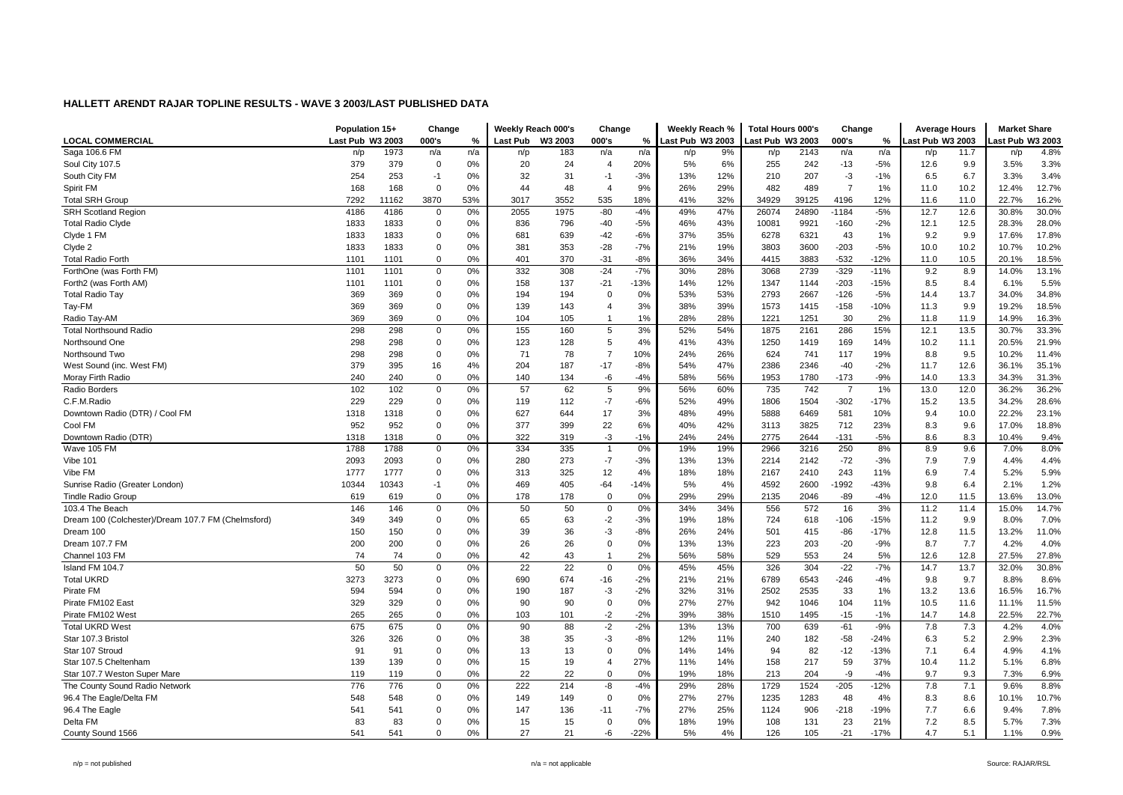|                                                    | Population 15+   |       | Change         |     |                 | Weekly Reach 000's | Change                  |        | Weekly Reach %   |     | <b>Total Hours 000's</b> |       | Change         |        | <b>Average Hours</b> |      | <b>Market Share</b> |       |
|----------------------------------------------------|------------------|-------|----------------|-----|-----------------|--------------------|-------------------------|--------|------------------|-----|--------------------------|-------|----------------|--------|----------------------|------|---------------------|-------|
| <b>LOCAL COMMERCIAL</b>                            | Last Pub W3 2003 |       | 000's          | %   | <b>Last Pub</b> | W3 2003            | 000's                   | $\%$   | Last Pub W3 2003 |     | Last Pub W3 2003         |       | 000's          | %      | ast Pub W3 2003      |      | ast Pub W3 2003     |       |
| Saga 106.6 FM                                      | n/p              | 1973  | n/a            | n/a | n/p             | 183                | n/a                     | n/a    | n/p              | 9%  | n/p                      | 2143  | n/a            | n/a    | n/p                  | 11.7 | n/p                 | 4.8%  |
| Soul City 107.5                                    | 379              | 379   | $\overline{0}$ | 0%  | 20              | 24                 | $\overline{4}$          | 20%    | 5%               | 6%  | 255                      | 242   | $-13$          | $-5%$  | 12.6                 | 9.9  | 3.5%                | 3.3%  |
| South City FM                                      | 254              | 253   | $-1$           | 0%  | 32              | 31                 | $-1$                    | $-3%$  | 13%              | 12% | 210                      | 207   | $-3$           | $-1%$  | 6.5                  | 6.7  | 3.3%                | 3.4%  |
| Spirit FM                                          | 168              | 168   | $\Omega$       | 0%  | 44              | 48                 | $\overline{4}$          | 9%     | 26%              | 29% | 482                      | 489   | $\overline{7}$ | 1%     | 11.0                 | 10.2 | 12.4%               | 12.7% |
| <b>Total SRH Group</b>                             | 7292             | 11162 | 3870           | 53% | 3017            | 3552               | 535                     | 18%    | 41%              | 32% | 34929                    | 39125 | 4196           | 12%    | 11.6                 | 11.0 | 22.7%               | 16.2% |
| <b>SRH Scotland Region</b>                         | 4186             | 4186  | $\mathbf 0$    | 0%  | 2055            | 1975               | $-80$                   | $-4%$  | 49%              | 47% | 26074                    | 24890 | $-1184$        | $-5%$  | 12.7                 | 12.6 | 30.8%               | 30.0% |
| <b>Total Radio Clyde</b>                           | 1833             | 1833  | $\mathbf 0$    | 0%  | 836             | 796                | $-40$                   | $-5%$  | 46%              | 43% | 10081                    | 9921  | $-160$         | $-2%$  | 12.1                 | 12.5 | 28.3%               | 28.0% |
| Clyde 1 FM                                         | 1833             | 1833  | $\overline{0}$ | 0%  | 681             | 639                | $-42$                   | $-6%$  | 37%              | 35% | 6278                     | 6321  | 43             | 1%     | 9.2                  | 9.9  | 17.6%               | 17.8% |
| Clyde 2                                            | 1833             | 1833  | $\mathbf 0$    | 0%  | 381             | 353                | $-28$                   | $-7%$  | 21%              | 19% | 3803                     | 3600  | $-203$         | $-5%$  | 10.0                 | 10.2 | 10.7%               | 10.2% |
| <b>Total Radio Forth</b>                           | 1101             | 1101  | $\mathbf 0$    | 0%  | 401             | 370                | $-31$                   | $-8%$  | 36%              | 34% | 4415                     | 3883  | $-532$         | $-12%$ | 11.0                 | 10.5 | 20.1%               | 18.5% |
| ForthOne (was Forth FM)                            | 1101             | 1101  | $\mathbf 0$    | 0%  | 332             | 308                | $-24$                   | $-7%$  | 30%              | 28% | 3068                     | 2739  | $-329$         | $-11%$ | 9.2                  | 8.9  | 14.0%               | 13.1% |
| Forth2 (was Forth AM)                              | 1101             | 1101  | $\mathbf 0$    | 0%  | 158             | 137                | $-21$                   | $-13%$ | 14%              | 12% | 1347                     | 1144  | $-203$         | $-15%$ | 8.5                  | 8.4  | 6.1%                | 5.5%  |
| <b>Total Radio Tay</b>                             | 369              | 369   | $\mathbf 0$    | 0%  | 194             | 194                | $\Omega$                | 0%     | 53%              | 53% | 2793                     | 2667  | $-126$         | $-5%$  | 14.4                 | 13.7 | 34.0%               | 34.8% |
| Tay-FM                                             | 369              | 369   | $\mathbf 0$    | 0%  | 139             | 143                | $\overline{\mathbf{4}}$ | 3%     | 38%              | 39% | 1573                     | 1415  | $-158$         | $-10%$ | 11.3                 | 9.9  | 19.2%               | 18.5% |
| Radio Tay-AM                                       | 369              | 369   | $\mathbf 0$    | 0%  | 104             | 105                | $\mathbf{1}$            | 1%     | 28%              | 28% | 1221                     | 1251  | 30             | 2%     | 11.8                 | 11.9 | 14.9%               | 16.3% |
| <b>Total Northsound Radio</b>                      | 298              | 298   | $\mathbf 0$    | 0%  | 155             | 160                | 5                       | 3%     | 52%              | 54% | 1875                     | 2161  | 286            | 15%    | 12.1                 | 13.5 | 30.7%               | 33.3% |
| Northsound One                                     | 298              | 298   | $\mathbf 0$    | 0%  | 123             | 128                | 5                       | 4%     | 41%              | 43% | 1250                     | 1419  | 169            | 14%    | 10.2                 | 11.1 | 20.5%               | 21.9% |
| Northsound Two                                     | 298              | 298   | $\mathbf 0$    | 0%  | 71              | 78                 | $\overline{7}$          | 10%    | 24%              | 26% | 624                      | 741   | 117            | 19%    | 8.8                  | 9.5  | 10.2%               | 11.4% |
| West Sound (inc. West FM)                          | 379              | 395   | 16             | 4%  | 204             | 187                | $-17$                   | $-8%$  | 54%              | 47% | 2386                     | 2346  | $-40$          | $-2%$  | 11.7                 | 12.6 | 36.1%               | 35.1% |
| Moray Firth Radio                                  | 240              | 240   | $\mathbf 0$    | 0%  | 140             | 134                | -6                      | $-4%$  | 58%              | 56% | 1953                     | 1780  | $-173$         | $-9%$  | 14.0                 | 13.3 | 34.3%               | 31.3% |
| Radio Borders                                      | 102              | 102   | $\mathbf 0$    | 0%  | 57              | 62                 | 5                       | 9%     | 56%              | 60% | 735                      | 742   | $\overline{7}$ | 1%     | 13.0                 | 12.0 | 36.2%               | 36.2% |
| C.F.M.Radio                                        | 229              | 229   | $\mathbf 0$    | 0%  | 119             | 112                | $-7$                    | $-6%$  | 52%              | 49% | 1806                     | 1504  | $-302$         | $-17%$ | 15.2                 | 13.5 | 34.2%               | 28.6% |
| Downtown Radio (DTR) / Cool FM                     | 1318             | 1318  | $\mathbf 0$    | 0%  | 627             | 644                | 17                      | 3%     | 48%              | 49% | 5888                     | 6469  | 581            | 10%    | 9.4                  | 10.0 | 22.2%               | 23.1% |
| Cool FM                                            | 952              | 952   | $\mathbf 0$    | 0%  | 377             | 399                | 22                      | 6%     | 40%              | 42% | 3113                     | 3825  | 712            | 23%    | 8.3                  | 9.6  | 17.0%               | 18.8% |
| Downtown Radio (DTR)                               | 1318             | 1318  | $\mathbf 0$    | 0%  | 322             | 319                | $-3$                    | $-1%$  | 24%              | 24% | 2775                     | 2644  | $-131$         | $-5%$  | 8.6                  | 8.3  | 10.4%               | 9.4%  |
| Wave 105 FM                                        | 1788             | 1788  | $\mathbf 0$    | 0%  | 334             | 335                | $\overline{1}$          | 0%     | 19%              | 19% | 2966                     | 3216  | 250            | 8%     | 8.9                  | 9.6  | 7.0%                | 8.0%  |
| Vibe 101                                           | 2093             | 2093  | $\mathbf 0$    | 0%  | 280             | 273                | $-7$                    | $-3%$  | 13%              | 13% | 2214                     | 2142  | $-72$          | $-3%$  | 7.9                  | 7.9  | 4.4%                | 4.4%  |
| Vibe FM                                            | 1777             | 1777  | $\mathbf 0$    | 0%  | 313             | 325                | 12                      | 4%     | 18%              | 18% | 2167                     | 2410  | 243            | 11%    | 6.9                  | 7.4  | 5.2%                | 5.9%  |
| Sunrise Radio (Greater London)                     | 10344            | 10343 | $-1$           | 0%  | 469             | 405                | $-64$                   | $-14%$ | 5%               | 4%  | 4592                     | 2600  | -1992          | $-43%$ | 9.8                  | 6.4  | 2.1%                | 1.2%  |
| <b>Tindle Radio Group</b>                          | 619              | 619   | 0              | 0%  | 178             | 178                | $\mathbf 0$             | 0%     | 29%              | 29% | 2135                     | 2046  | -89            | $-4%$  | 12.0                 | 11.5 | 13.6%               | 13.0% |
| 103.4 The Beach                                    | 146              | 146   | $\mathbf 0$    | 0%  | 50              | 50                 | $\mathbf 0$             | 0%     | 34%              | 34% | 556                      | 572   | 16             | 3%     | 11.2                 | 11.4 | 15.0%               | 14.7% |
| Dream 100 (Colchester)/Dream 107.7 FM (Chelmsford) | 349              | 349   | $\mathbf 0$    | 0%  | 65              | 63                 | $-2$                    | $-3%$  | 19%              | 18% | 724                      | 618   | -106           | $-15%$ | 11.2                 | 9.9  | 8.0%                | 7.0%  |
| Dream 100                                          | 150              | 150   | $\mathbf 0$    | 0%  | 39              | 36                 | $-3$                    | $-8%$  | 26%              | 24% | 501                      | 415   | -86            | $-17%$ | 12.8                 | 11.5 | 13.2%               | 11.0% |
| Dream 107.7 FM                                     | 200              | 200   | $\mathbf 0$    | 0%  | 26              | 26                 | $\mathbf 0$             | 0%     | 13%              | 13% | 223                      | 203   | $-20$          | $-9%$  | 8.7                  | 7.7  | 4.2%                | 4.0%  |
| Channel 103 FM                                     | 74               | 74    | $\mathbf 0$    | 0%  | 42              | 43                 | $\overline{1}$          | 2%     | 56%              | 58% | 529                      | 553   | 24             | 5%     | 12.6                 | 12.8 | 27.5%               | 27.8% |
| Island FM 104.7                                    | 50               | 50    | $\mathbf 0$    | 0%  | 22              | 22                 | $\mathbf 0$             | 0%     | 45%              | 45% | 326                      | 304   | $-22$          | $-7%$  | 14.7                 | 13.7 | 32.0%               | 30.8% |
| <b>Total UKRD</b>                                  | 3273             | 3273  | $\mathbf 0$    | 0%  | 690             | 674                | $-16$                   | $-2%$  | 21%              | 21% | 6789                     | 6543  | $-246$         | $-4%$  | 9.8                  | 9.7  | 8.8%                | 8.6%  |
| Pirate FM                                          | 594              | 594   | $\mathbf 0$    | 0%  | 190             | 187                | $-3$                    | $-2%$  | 32%              | 31% | 2502                     | 2535  | 33             | 1%     | 13.2                 | 13.6 | 16.5%               | 16.7% |
| Pirate FM102 East                                  | 329              | 329   | $\mathbf 0$    | 0%  | 90              | 90                 | $\Omega$                | 0%     | 27%              | 27% | 942                      | 1046  | 104            | 11%    | 10.5                 | 11.6 | 11.1%               | 11.5% |
| Pirate FM102 West                                  | 265              | 265   | $\mathbf 0$    | 0%  | 103             | 101                | $-2$                    | $-2%$  | 39%              | 38% | 1510                     | 1495  | $-15$          | $-1%$  | 14.7                 | 14.8 | 22.5%               | 22.7% |
| <b>Total UKRD West</b>                             | 675              | 675   | $\mathbf 0$    | 0%  | 90              | 88                 | $-2$                    | $-2%$  | 13%              | 13% | 700                      | 639   | $-61$          | $-9%$  | 7.8                  | 7.3  | 4.2%                | 4.0%  |
| Star 107.3 Bristol                                 | 326              | 326   | $\mathbf 0$    | 0%  | 38              | 35                 | $-3$                    | $-8%$  | 12%              | 11% | 240                      | 182   | -58            | $-24%$ | 6.3                  | 5.2  | 2.9%                | 2.3%  |
| Star 107 Stroud                                    | 91               | 91    | $\mathbf 0$    | 0%  | 13              | 13                 | $\Omega$                | 0%     | 14%              | 14% | 94                       | 82    | $-12$          | $-13%$ | 7.1                  | 6.4  | 4.9%                | 4.1%  |
| Star 107.5 Cheltenham                              | 139              | 139   | $\mathbf 0$    | 0%  | 15              | 19                 | $\overline{4}$          | 27%    | 11%              | 14% | 158                      | 217   | 59             | 37%    | 10.4                 | 11.2 | 5.1%                | 6.8%  |
| Star 107.7 Weston Super Mare                       | 119              | 119   | $\mathbf 0$    | 0%  | 22              | 22                 | $\Omega$                | 0%     | 19%              | 18% | 213                      | 204   | -9             | $-4%$  | 9.7                  | 9.3  | 7.3%                | 6.9%  |
| The County Sound Radio Network                     | 776              | 776   | $\mathbf 0$    | 0%  | 222             | 214                | $-8$                    | $-4%$  | 29%              | 28% | 1729                     | 1524  | $-205$         | $-12%$ | 7.8                  | 7.1  | 9.6%                | 8.8%  |
| 96.4 The Eagle/Delta FM                            | 548              | 548   | $\mathbf 0$    | 0%  | 149             | 149                | $\Omega$                | 0%     | 27%              | 27% | 1235                     | 1283  | 48             | 4%     | 8.3                  | 8.6  | 10.1%               | 10.7% |
| 96.4 The Eagle                                     | 541              | 541   | $\overline{0}$ | 0%  | 147             | 136                | $-11$                   | $-7%$  | 27%              | 25% | 1124                     | 906   | -218           | $-19%$ | 7.7                  | 6.6  | 9.4%                | 7.8%  |
| Delta FM                                           | 83               | 83    | $\overline{0}$ | 0%  | 15              | 15                 | 0                       | 0%     | 18%              | 19% | 108                      | 131   | 23             | 21%    | 7.2                  | 8.5  | 5.7%                | 7.3%  |
| County Sound 1566                                  | 541              | 541   | $\Omega$       | 0%  | 27              | 21                 | -6                      | $-22%$ | 5%               | 4%  | 126                      | 105   | $-21$          | $-17%$ | 4.7                  | 5.1  | 1.1%                | 0.9%  |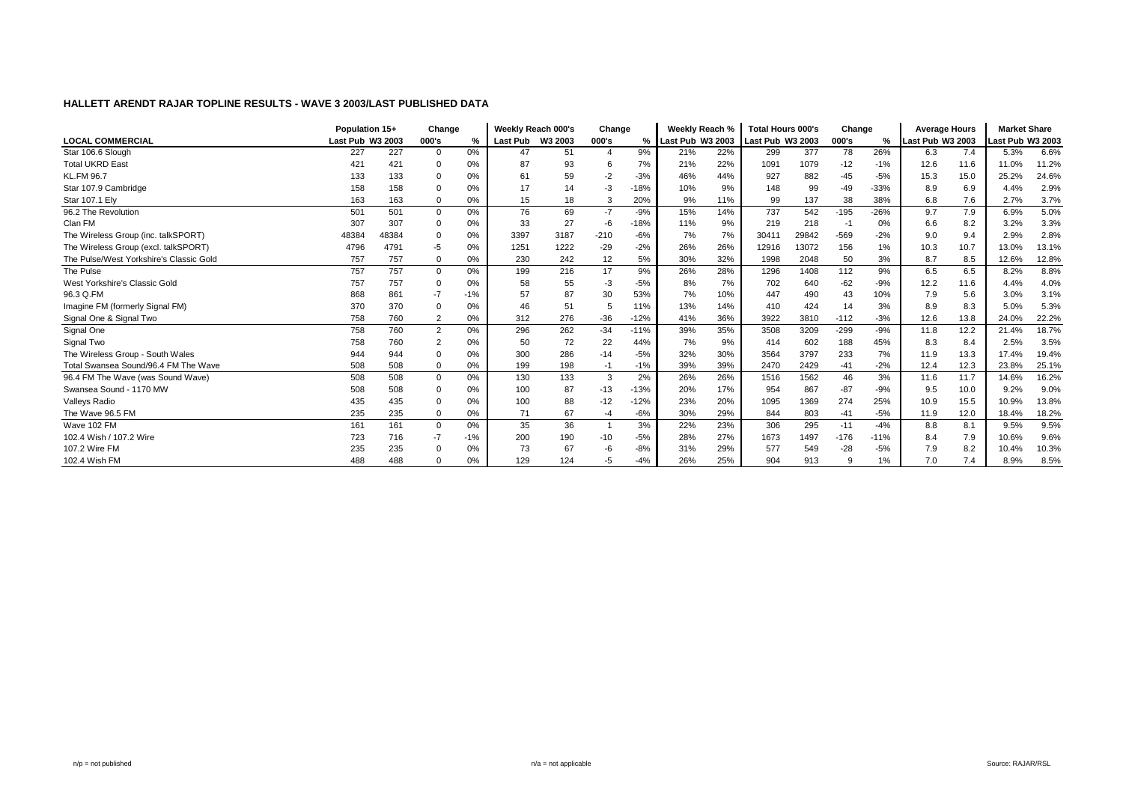|                                         | Population 15+   |       | Change         |       | Weekly Reach 000's |      | Change |        | Weekly Reach %   |     | <b>Total Hours 000's</b> |       | Change |        | <b>Average Hours</b> |      | <b>Market Share</b> |       |
|-----------------------------------------|------------------|-------|----------------|-------|--------------------|------|--------|--------|------------------|-----|--------------------------|-------|--------|--------|----------------------|------|---------------------|-------|
| <b>LOCAL COMMERCIAL</b>                 | Last Pub W3 2003 |       | 000's          |       | Last Pub W3 2003   |      | 000's  | %      | Last Pub W3 2003 |     | <b>Last Pub W3 2003</b>  |       | 000's  | %      | Last Pub W3 2003     |      | Last Pub W3 2003    |       |
| Star 106.6 Slough                       | 227              | 227   | $\mathbf 0$    | 0%    | 47                 | 51   |        | 9%     | 21%              | 22% | 299                      | 377   | 78     | 26%    | 6.3                  | 7.4  | 5.3%                | 6.6%  |
| <b>Total UKRD East</b>                  | 421              | 421   | $\Omega$       | 0%    | 87                 | 93   |        | 7%     | 21%              | 22% | 1091                     | 1079  | -12    | $-1%$  | 12.6                 | 11.6 | 11.0%               | 11.2% |
| <b>KL.FM 96.7</b>                       | 133              | 133   | $\mathbf 0$    | 0%    | 61                 | 59   | -2     | $-3%$  | 46%              | 44% | 927                      | 882   | -45    | $-5%$  | 15.3                 | 15.0 | 25.2%               | 24.6% |
| Star 107.9 Cambridge                    | 158              | 158   | $\Omega$       | 0%    | 17                 | 14   | $-3$   | $-18%$ | 10%              | 9%  | 148                      | 99    | -49    | $-33%$ | 8.9                  | 6.9  | 4.4%                | 2.9%  |
| Star 107.1 Ely                          | 163              | 163   | $\mathbf 0$    | 0%    | 15                 | 18   | 3      | 20%    | 9%               | 11% | 99                       | 137   | 38     | 38%    | 6.8                  | 7.6  | 2.7%                | 3.7%  |
| 96.2 The Revolution                     | 501              | 501   | $\overline{0}$ | 0%    | 76                 | 69   | $-7$   | $-9%$  | 15%              | 14% | 737                      | 542   | $-195$ | $-26%$ | 9.7                  | 7.9  | 6.9%                | 5.0%  |
| Clan FM                                 | 307              | 307   | $\Omega$       | 0%    | 33                 | 27   | -6     | $-18%$ | 11%              | 9%  | 219                      | 218   | -1     | 0%     | 6.6                  | 8.2  | 3.2%                | 3.3%  |
| The Wireless Group (inc. talkSPORT)     | 48384            | 48384 | $\Omega$       | 0%    | 3397               | 3187 | $-210$ | $-6%$  | 7%               | 7%  | 30411                    | 29842 | $-569$ | $-2%$  | 9.0                  | 9.4  | 2.9%                | 2.8%  |
| The Wireless Group (excl. talkSPORT)    | 4796             | 4791  | -5             | 0%    | 1251               | 1222 | $-29$  | $-2%$  | 26%              | 26% | 12916                    | 13072 | 156    | 1%     | 10.3                 | 10.7 | 13.0%               | 13.1% |
| The Pulse/West Yorkshire's Classic Gold | 757              | 757   | $\mathbf 0$    | 0%    | 230                | 242  | 12     | 5%     | 30%              | 32% | 1998                     | 2048  | 50     | 3%     | 8.7                  | 8.5  | 12.6%               | 12.8% |
| The Pulse                               | 757              | 757   | $\mathbf 0$    | 0%    | 199                | 216  | 17     | 9%     | 26%              | 28% | 1296                     | 1408  | 112    | 9%     | 6.5                  | 6.5  | 8.2%                | 8.8%  |
| West Yorkshire's Classic Gold           | 757              | 757   | $\mathbf 0$    | 0%    | 58                 | 55   | -3     | $-5%$  | 8%               | 7%  | 702                      | 640   | $-62$  | $-9%$  | 12.2                 | 11.6 | 4.4%                | 4.0%  |
| 96.3 Q.FM                               | 868              | 861   | $-7$           | $-1%$ | 57                 | 87   | 30     | 53%    | 7%               | 10% | 447                      | 490   | 43     | 10%    | 7.9                  | 5.6  | 3.0%                | 3.1%  |
| Imagine FM (formerly Signal FM)         | 370              | 370   | $\Omega$       | 0%    | 46                 | 51   |        | 11%    | 13%              | 14% | 410                      | 424   | 14     | 3%     | 8.9                  | 8.3  | 5.0%                | 5.3%  |
| Signal One & Signal Two                 | 758              | 760   | $\overline{2}$ | 0%    | 312                | 276  | $-36$  | $-12%$ | 41%              | 36% | 3922                     | 3810  | $-112$ | $-3%$  | 12.6                 | 13.8 | 24.0%               | 22.2% |
| Signal One                              | 758              | 760   | $\overline{2}$ | 0%    | 296                | 262  | $-34$  | $-11%$ | 39%              | 35% | 3508                     | 3209  | $-299$ | $-9%$  | 11.8                 | 12.2 | 21.4%               | 18.7% |
| Signal Two                              | 758              | 760   | $\overline{2}$ | 0%    | 50                 | 72   | 22     | 44%    | 7%               | 9%  | 414                      | 602   | 188    | 45%    | 8.3                  | 8.4  | 2.5%                | 3.5%  |
| The Wireless Group - South Wales        | 944              | 944   | $\Omega$       | 0%    | 300                | 286  | $-14$  | $-5%$  | 32%              | 30% | 3564                     | 3797  | 233    | 7%     | 11.9                 | 13.3 | 17.4%               | 19.4% |
| Total Swansea Sound/96.4 FM The Wave    | 508              | 508   | $\mathbf 0$    | 0%    | 199                | 198  | -1     | $-1%$  | 39%              | 39% | 2470                     | 2429  | $-41$  | $-2%$  | 12.4                 | 12.3 | 23.8%               | 25.1% |
| 96.4 FM The Wave (was Sound Wave)       | 508              | 508   | $\mathbf 0$    | 0%    | 130                | 133  | 3      | 2%     | 26%              | 26% | 1516                     | 1562  | 46     | 3%     | 11.6                 | 11.7 | 14.6%               | 16.2% |
| Swansea Sound - 1170 MW                 | 508              | 508   | $\Omega$       | 0%    | 100                | 87   | $-13$  | $-13%$ | 20%              | 17% | 954                      | 867   | $-87$  | $-9%$  | 9.5                  | 10.0 | 9.2%                | 9.0%  |
| <b>Valleys Radio</b>                    | 435              | 435   | $\Omega$       | 0%    | 100                | 88   | $-12$  | $-12%$ | 23%              | 20% | 1095                     | 1369  | 274    | 25%    | 10.9                 | 15.5 | 10.9%               | 13.8% |
| The Wave 96.5 FM                        | 235              | 235   | $\mathbf 0$    | 0%    | 71                 | 67   | -4     | $-6%$  | 30%              | 29% | 844                      | 803   | $-41$  | $-5%$  | 11.9                 | 12.0 | 18.4%               | 18.2% |
| Wave 102 FM                             | 161              | 161   | $\mathbf 0$    | 0%    | 35                 | 36   |        | 3%     | 22%              | 23% | 306                      | 295   | $-11$  | $-4%$  | 8.8                  | 8.1  | 9.5%                | 9.5%  |
| 102.4 Wish / 107.2 Wire                 | 723              | 716   | $-7$           | $-1%$ | 200                | 190  | $-10$  | $-5%$  | 28%              | 27% | 1673                     | 1497  | $-176$ | $-11%$ | 8.4                  | 7.9  | 10.6%               | 9.6%  |
| 107.2 Wire FM                           | 235              | 235   | $\Omega$       | 0%    | 73                 | 67   | -6     | $-8%$  | 31%              | 29% | 577                      | 549   | $-28$  | $-5%$  | 7.9                  | 8.2  | 10.4%               | 10.3% |
| 102.4 Wish FM                           | 488              | 488   | $\Omega$       | 0%    | 129                | 124  | -5     | $-4%$  | 26%              | 25% | 904                      | 913   | 9      | 1%     | 7.0                  | 7.4  | 8.9%                | 8.5%  |